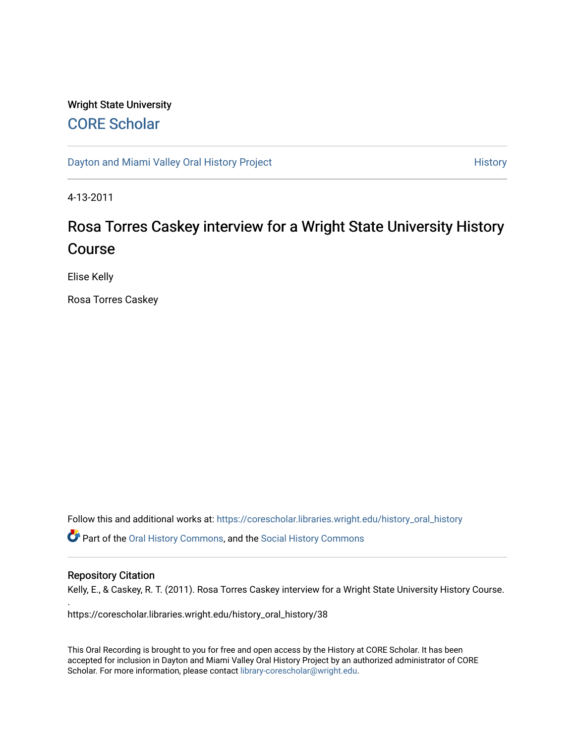# Wright State University [CORE Scholar](https://corescholar.libraries.wright.edu/)

[Dayton and Miami Valley Oral History Project](https://corescholar.libraries.wright.edu/history_oral_history) **History** History

4-13-2011

# Rosa Torres Caskey interview for a Wright State University History Course

Elise Kelly

Rosa Torres Caskey

Follow this and additional works at: [https://corescholar.libraries.wright.edu/history\\_oral\\_history](https://corescholar.libraries.wright.edu/history_oral_history?utm_source=corescholar.libraries.wright.edu%2Fhistory_oral_history%2F38&utm_medium=PDF&utm_campaign=PDFCoverPages)  Part of the [Oral History Commons](http://network.bepress.com/hgg/discipline/1195?utm_source=corescholar.libraries.wright.edu%2Fhistory_oral_history%2F38&utm_medium=PDF&utm_campaign=PDFCoverPages), and the [Social History Commons](http://network.bepress.com/hgg/discipline/506?utm_source=corescholar.libraries.wright.edu%2Fhistory_oral_history%2F38&utm_medium=PDF&utm_campaign=PDFCoverPages)

#### Repository Citation

.

Kelly, E., & Caskey, R. T. (2011). Rosa Torres Caskey interview for a Wright State University History Course.

https://corescholar.libraries.wright.edu/history\_oral\_history/38

This Oral Recording is brought to you for free and open access by the History at CORE Scholar. It has been accepted for inclusion in Dayton and Miami Valley Oral History Project by an authorized administrator of CORE Scholar. For more information, please contact [library-corescholar@wright.edu](mailto:library-corescholar@wright.edu).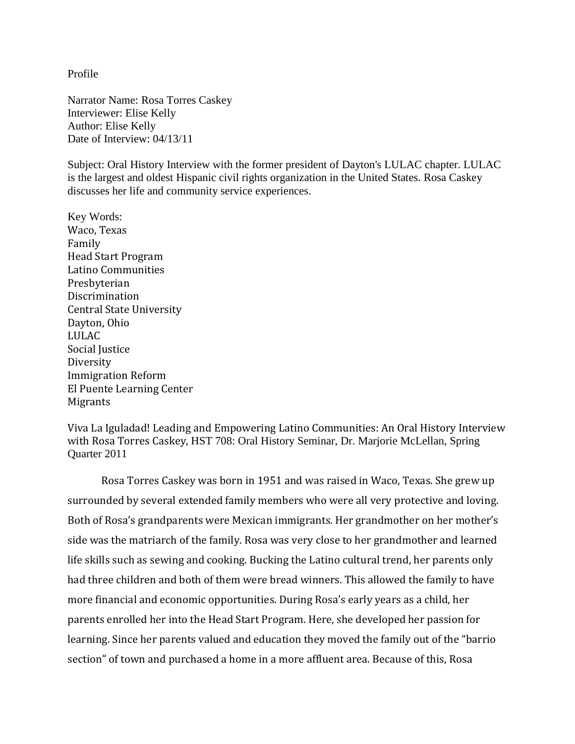Profile

Narrator Name: Rosa Torres Caskey Interviewer: Elise Kelly Author: Elise Kelly Date of Interview: 04/13/11

Subject: Oral History Interview with the former president of Dayton's LULAC chapter. LULAC is the largest and oldest Hispanic civil rights organization in the United States. Rosa Caskey discusses her life and community service experiences.

Key Words: Waco, Texas Family Head Start Program Latino Communities Presbyterian Discrimination Central State University Dayton, Ohio LULAC Social Justice Diversity Immigration Reform El Puente Learning Center Migrants

Viva La Iguladad! Leading and Empowering Latino Communities: An Oral History Interview with Rosa Torres Caskey, HST 708: Oral History Seminar, Dr. Marjorie McLellan, Spring Quarter 2011

Rosa Torres Caskey was born in 1951 and was raised in Waco, Texas. She grew up surrounded by several extended family members who were all very protective and loving. Both of Rosa's grandparents were Mexican immigrants. Her grandmother on her mother's side was the matriarch of the family. Rosa was very close to her grandmother and learned life skills such as sewing and cooking. Bucking the Latino cultural trend, her parents only had three children and both of them were bread winners. This allowed the family to have more financial and economic opportunities. During Rosa's early years as a child, her parents enrolled her into the Head Start Program. Here, she developed her passion for learning. Since her parents valued and education they moved the family out of the "barrio section" of town and purchased a home in a more affluent area. Because of this, Rosa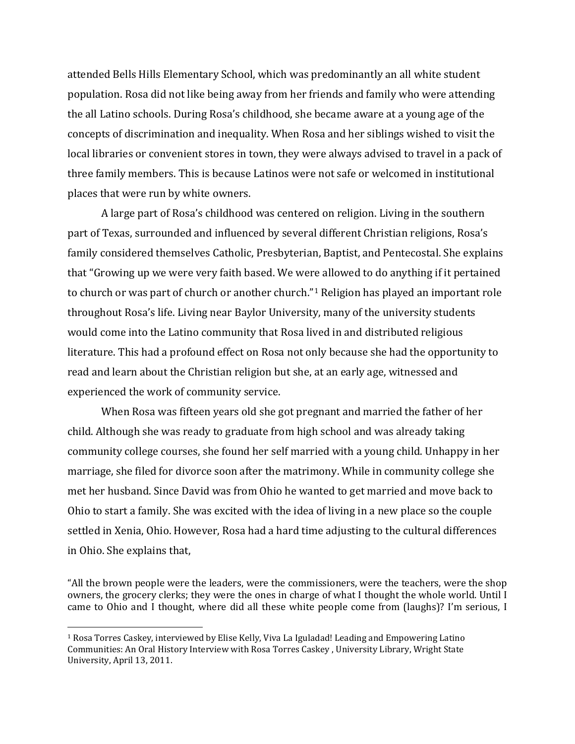attended Bells Hills Elementary School, which was predominantly an all white student population. Rosa did not like being away from her friends and family who were attending the all Latino schools. During Rosa's childhood, she became aware at a young age of the concepts of discrimination and inequality. When Rosa and her siblings wished to visit the local libraries or convenient stores in town, they were always advised to travel in a pack of three family members. This is because Latinos were not safe or welcomed in institutional places that were run by white owners.

A large part of Rosa's childhood was centered on religion. Living in the southern part of Texas, surrounded and influenced by several different Christian religions, Rosa's family considered themselves Catholic, Presbyterian, Baptist, and Pentecostal. She explains that "Growing up we were very faith based. We were allowed to do anything if it pertained to church or was part of church or another church."[1](#page-2-0) Religion has played an important role throughout Rosa's life. Living near Baylor University, many of the university students would come into the Latino community that Rosa lived in and distributed religious literature. This had a profound effect on Rosa not only because she had the opportunity to read and learn about the Christian religion but she, at an early age, witnessed and experienced the work of community service.

When Rosa was fifteen years old she got pregnant and married the father of her child. Although she was ready to graduate from high school and was already taking community college courses, she found her self married with a young child. Unhappy in her marriage, she filed for divorce soon after the matrimony. While in community college she met her husband. Since David was from Ohio he wanted to get married and move back to Ohio to start a family. She was excited with the idea of living in a new place so the couple settled in Xenia, Ohio. However, Rosa had a hard time adjusting to the cultural differences in Ohio. She explains that,

"All the brown people were the leaders, were the commissioners, were the teachers, were the shop owners, the grocery clerks; they were the ones in charge of what I thought the whole world. Until I came to Ohio and I thought, where did all these white people come from (laughs)? I'm serious, I

<span id="page-2-0"></span> <sup>1</sup> Rosa Torres Caskey, interviewed by Elise Kelly, Viva La Iguladad! Leading and Empowering Latino Communities: An Oral History Interview with Rosa Torres Caskey , University Library, Wright State University, April 13, 2011.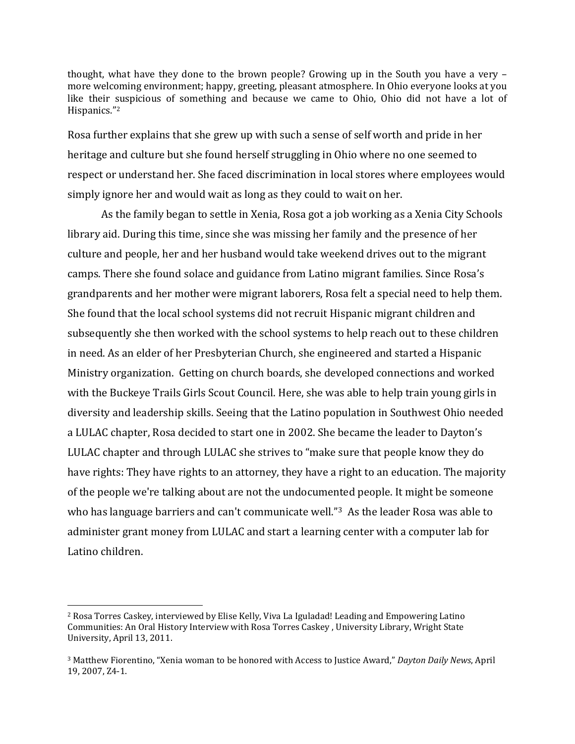thought, what have they done to the brown people? Growing up in the South you have a very – more welcoming environment; happy, greeting, pleasant atmosphere. In Ohio everyone looks at you like their suspicious of something and because we came to Ohio, Ohio did not have a lot of Hispanics.["2](#page-3-0)

Rosa further explains that she grew up with such a sense of self worth and pride in her heritage and culture but she found herself struggling in Ohio where no one seemed to respect or understand her. She faced discrimination in local stores where employees would simply ignore her and would wait as long as they could to wait on her.

As the family began to settle in Xenia, Rosa got a job working as a Xenia City Schools library aid. During this time, since she was missing her family and the presence of her culture and people, her and her husband would take weekend drives out to the migrant camps. There she found solace and guidance from Latino migrant families. Since Rosa's grandparents and her mother were migrant laborers, Rosa felt a special need to help them. She found that the local school systems did not recruit Hispanic migrant children and subsequently she then worked with the school systems to help reach out to these children in need. As an elder of her Presbyterian Church, she engineered and started a Hispanic Ministry organization. Getting on church boards, she developed connections and worked with the Buckeye Trails Girls Scout Council. Here, she was able to help train young girls in diversity and leadership skills. Seeing that the Latino population in Southwest Ohio needed a LULAC chapter, Rosa decided to start one in 2002. She became the leader to Dayton's LULAC chapter and through LULAC she strives to "make sure that people know they do have rights: They have rights to an attorney, they have a right to an education. The majority of the people we're talking about are not the undocumented people. It might be someone who has language barriers and can't communicate well."<sup>3</sup> As the leader Rosa was able to administer grant money from LULAC and start a learning center with a computer lab for Latino children.

<span id="page-3-0"></span> <sup>2</sup> Rosa Torres Caskey, interviewed by Elise Kelly, Viva La Iguladad! Leading and Empowering Latino Communities: An Oral History Interview with Rosa Torres Caskey , University Library, Wright State University, April 13, 2011.

<span id="page-3-1"></span><sup>3</sup> Matthew Fiorentino, "Xenia woman to be honored with Access to Justice Award," *Dayton Daily News*, April 19, 2007, Z4-1.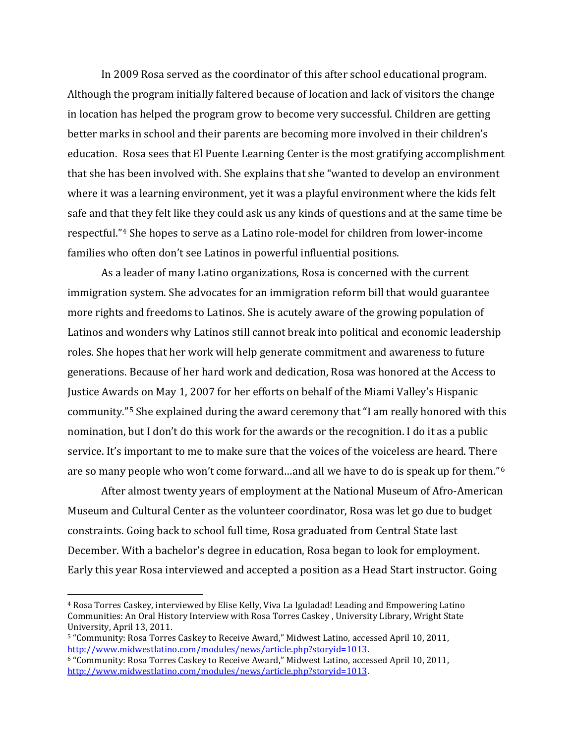In 2009 Rosa served as the coordinator of this after school educational program. Although the program initially faltered because of location and lack of visitors the change in location has helped the program grow to become very successful. Children are getting better marks in school and their parents are becoming more involved in their children's education. Rosa sees that El Puente Learning Center is the most gratifying accomplishment that she has been involved with. She explains that she "wanted to develop an environment where it was a learning environment, yet it was a playful environment where the kids felt safe and that they felt like they could ask us any kinds of questions and at the same time be respectful."[4](#page-4-0) She hopes to serve as a Latino role-model for children from lower-income families who often don't see Latinos in powerful influential positions.

As a leader of many Latino organizations, Rosa is concerned with the current immigration system. She advocates for an immigration reform bill that would guarantee more rights and freedoms to Latinos. She is acutely aware of the growing population of Latinos and wonders why Latinos still cannot break into political and economic leadership roles. She hopes that her work will help generate commitment and awareness to future generations. Because of her hard work and dedication, Rosa was honored at the Access to Justice Awards on May 1, 2007 for her efforts on behalf of the Miami Valley's Hispanic community."[5](#page-4-1) She explained during the award ceremony that "I am really honored with this nomination, but I don't do this work for the awards or the recognition. I do it as a public service. It's important to me to make sure that the voices of the voiceless are heard. There are so many people who won't come forward…and all we have to do is speak up for them."[6](#page-4-2)

After almost twenty years of employment at the National Museum of Afro-American Museum and Cultural Center as the volunteer coordinator, Rosa was let go due to budget constraints. Going back to school full time, Rosa graduated from Central State last December. With a bachelor's degree in education, Rosa began to look for employment. Early this year Rosa interviewed and accepted a position as a Head Start instructor. Going

<span id="page-4-0"></span> <sup>4</sup> Rosa Torres Caskey, interviewed by Elise Kelly, Viva La Iguladad! Leading and Empowering Latino Communities: An Oral History Interview with Rosa Torres Caskey , University Library, Wright State University, April 13, 2011.

<span id="page-4-1"></span><sup>&</sup>lt;sup>5</sup> "Community: Rosa Torres Caskey to Receive Award," Midwest Latino, accessed April 10, 2011, http://www.midwestlatino.com/modules/news/article.php?storyid=1013.

<span id="page-4-2"></span><sup>&</sup>lt;sup>6</sup> "Community: Rosa Torres Caskey to Receive Award," Midwest Latino, accessed April 10, 2011, [http://www.midwestlatino.com/modules/news/article.php?storyid=1013.](http://www.midwestlatino.com/modules/news/article.php?storyid=1013)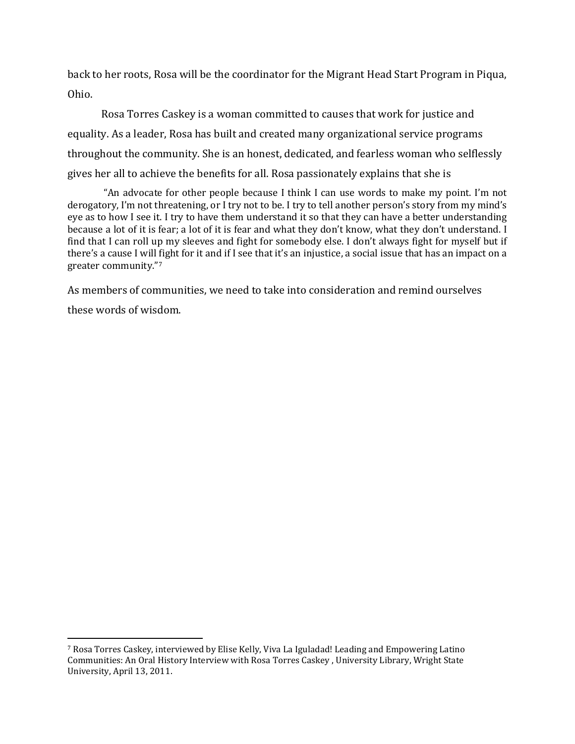back to her roots, Rosa will be the coordinator for the Migrant Head Start Program in Piqua, Ohio.

Rosa Torres Caskey is a woman committed to causes that work for justice and equality. As a leader, Rosa has built and created many organizational service programs throughout the community. She is an honest, dedicated, and fearless woman who selflessly gives her all to achieve the benefits for all. Rosa passionately explains that she is

"An advocate for other people because I think I can use words to make my point. I'm not derogatory, I'm not threatening, or I try not to be. I try to tell another person's story from my mind's eye as to how I see it. I try to have them understand it so that they can have a better understanding because a lot of it is fear; a lot of it is fear and what they don't know, what they don't understand. I find that I can roll up my sleeves and fight for somebody else. I don't always fight for myself but if there's a cause I will fight for it and if I see that it's an injustice, a social issue that has an impact on a greater community."[7](#page-5-0)

As members of communities, we need to take into consideration and remind ourselves these words of wisdom.

<span id="page-5-0"></span> <sup>7</sup> Rosa Torres Caskey, interviewed by Elise Kelly, Viva La Iguladad! Leading and Empowering Latino Communities: An Oral History Interview with Rosa Torres Caskey , University Library, Wright State University, April 13, 2011.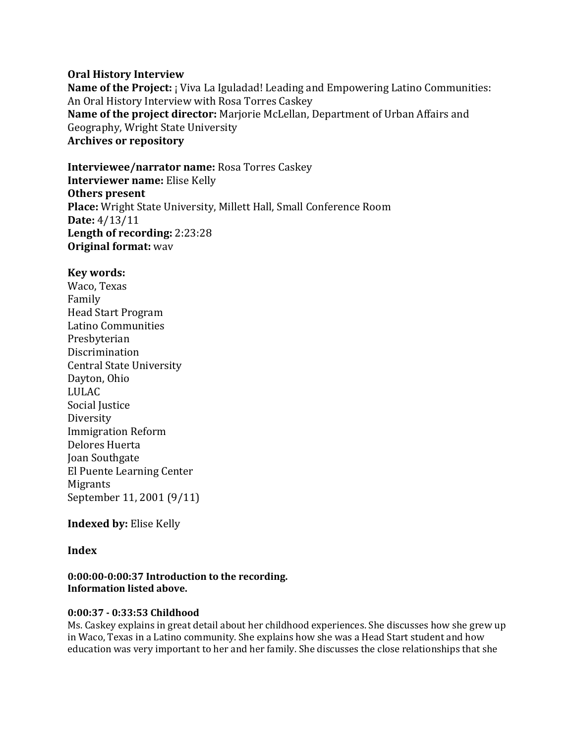# **Oral History Interview**

**Name of the Project:** *i* Viva La Iguladad! Leading and Empowering Latino Communities: An Oral History Interview with Rosa Torres Caskey **Name of the project director:** Marjorie McLellan, Department of Urban Affairs and Geography, Wright State University **Archives or repository**

**Interviewee/narrator name:** Rosa Torres Caskey **Interviewer name:** Elise Kelly **Others present Place:** Wright State University, Millett Hall, Small Conference Room **Date:** 4/13/11 **Length of recording:** 2:23:28 **Original format:** wav

# **Key words:**

Waco, Texas Family Head Start Program Latino Communities Presbyterian Discrimination Central State University Dayton, Ohio LULAC Social Justice Diversity Immigration Reform Delores Huerta Joan Southgate El Puente Learning Center Migrants September 11, 2001 (9/11)

# **Indexed by:** Elise Kelly

# **Index**

# **0:00:00-0:00:37 Introduction to the recording. Information listed above.**

# **0:00:37 - 0:33:53 Childhood**

Ms. Caskey explains in great detail about her childhood experiences. She discusses how she grew up in Waco, Texas in a Latino community. She explains how she was a Head Start student and how education was very important to her and her family. She discusses the close relationships that she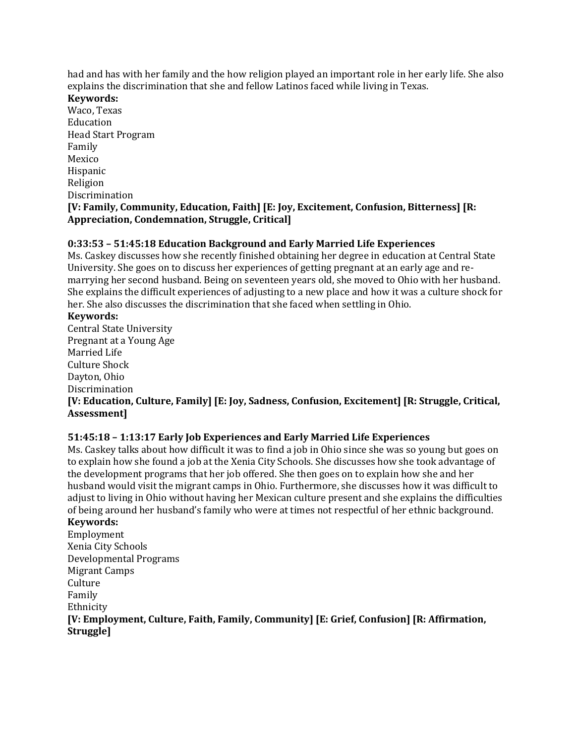had and has with her family and the how religion played an important role in her early life. She also explains the discrimination that she and fellow Latinos faced while living in Texas.

#### **Keywords:**

Waco, Texas Education Head Start Program Family Mexico Hispanic Religion Discrimination **[V: Family, Community, Education, Faith] [E: Joy, Excitement, Confusion, Bitterness] [R: Appreciation, Condemnation, Struggle, Critical]**

# **0:33:53 – 51:45:18 Education Background and Early Married Life Experiences**

Ms. Caskey discusses how she recently finished obtaining her degree in education at Central State University. She goes on to discuss her experiences of getting pregnant at an early age and remarrying her second husband. Being on seventeen years old, she moved to Ohio with her husband. She explains the difficult experiences of adjusting to a new place and how it was a culture shock for her. She also discusses the discrimination that she faced when settling in Ohio.

#### **Keywords:**

Central State University Pregnant at a Young Age Married Life Culture Shock Dayton, Ohio Discrimination

**[V: Education, Culture, Family] [E: Joy, Sadness, Confusion, Excitement] [R: Struggle, Critical, Assessment]**

# **51:45:18 – 1:13:17 Early Job Experiences and Early Married Life Experiences**

Ms. Caskey talks about how difficult it was to find a job in Ohio since she was so young but goes on to explain how she found a job at the Xenia City Schools. She discusses how she took advantage of the development programs that her job offered. She then goes on to explain how she and her husband would visit the migrant camps in Ohio. Furthermore, she discusses how it was difficult to adjust to living in Ohio without having her Mexican culture present and she explains the difficulties of being around her husband's family who were at times not respectful of her ethnic background. **Keywords:** 

Employment Xenia City Schools Developmental Programs Migrant Camps Culture Family Ethnicity **[V: Employment, Culture, Faith, Family, Community] [E: Grief, Confusion] [R: Affirmation, Struggle]**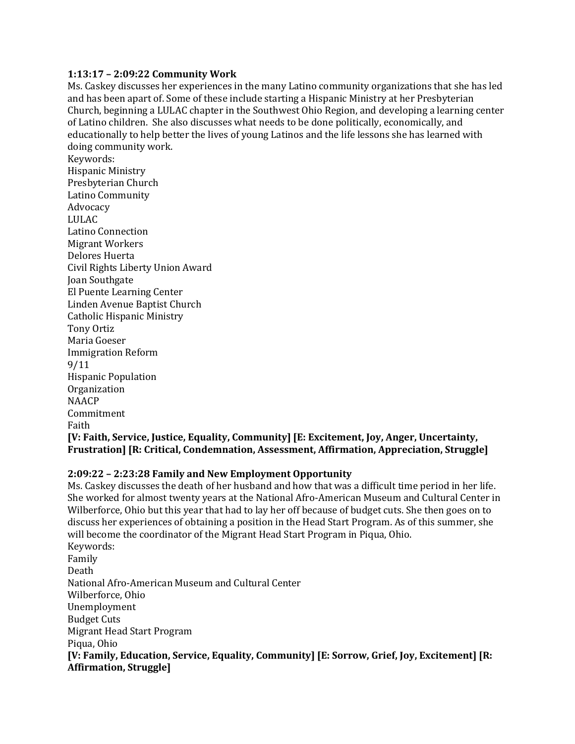#### **1:13:17 – 2:09:22 Community Work**

Ms. Caskey discusses her experiences in the many Latino community organizations that she has led and has been apart of. Some of these include starting a Hispanic Ministry at her Presbyterian Church, beginning a LULAC chapter in the Southwest Ohio Region, and developing a learning center of Latino children. She also discusses what needs to be done politically, economically, and educationally to help better the lives of young Latinos and the life lessons she has learned with doing community work.

Keywords: Hispanic Ministry Presbyterian Church Latino Community Advocacy LULAC Latino Connection Migrant Workers Delores Huerta Civil Rights Liberty Union Award Joan Southgate El Puente Learning Center Linden Avenue Baptist Church Catholic Hispanic Ministry Tony Ortiz Maria Goeser Immigration Reform 9/11 Hispanic Population **Organization** NAACP Commitment Faith **[V: Faith, Service, Justice, Equality, Community] [E: Excitement, Joy, Anger, Uncertainty, Frustration] [R: Critical, Condemnation, Assessment, Affirmation, Appreciation, Struggle]**

#### **2:09:22 – 2:23:28 Family and New Employment Opportunity**

Ms. Caskey discusses the death of her husband and how that was a difficult time period in her life. She worked for almost twenty years at the National Afro-American Museum and Cultural Center in Wilberforce, Ohio but this year that had to lay her off because of budget cuts. She then goes on to discuss her experiences of obtaining a position in the Head Start Program. As of this summer, she will become the coordinator of the Migrant Head Start Program in Piqua, Ohio. Keywords: Family Death National Afro-American Museum and Cultural Center Wilberforce, Ohio Unemployment Budget Cuts Migrant Head Start Program Piqua, Ohio **[V: Family, Education, Service, Equality, Community] [E: Sorrow, Grief, Joy, Excitement] [R: Affirmation, Struggle]**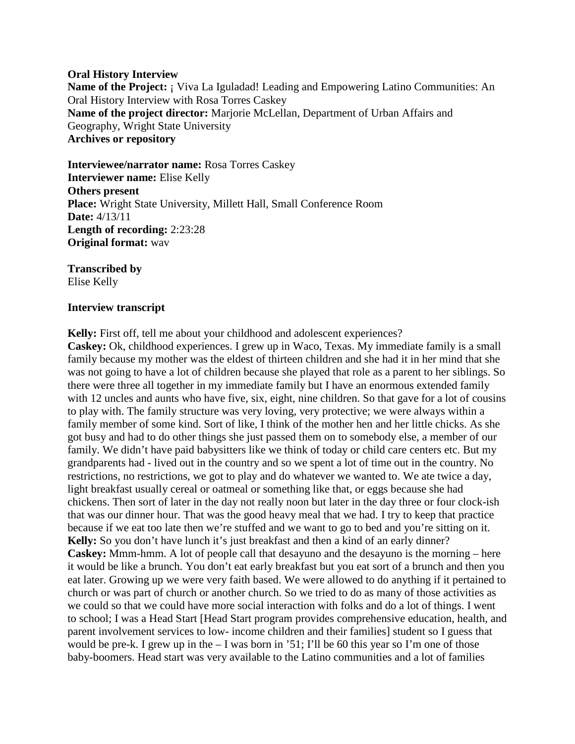#### **Oral History Interview**

**Name of the Project: ;** Viva La Iguladad! Leading and Empowering Latino Communities: An Oral History Interview with Rosa Torres Caskey **Name of the project director:** Marjorie McLellan, Department of Urban Affairs and Geography, Wright State University **Archives or repository**

**Interviewee/narrator name:** Rosa Torres Caskey **Interviewer name:** Elise Kelly **Others present Place:** Wright State University, Millett Hall, Small Conference Room **Date:** 4/13/11 **Length of recording:** 2:23:28 **Original format:** wav

**Transcribed by** Elise Kelly

# **Interview transcript**

**Kelly:** First off, tell me about your childhood and adolescent experiences?

**Caskey:** Ok, childhood experiences. I grew up in Waco, Texas. My immediate family is a small family because my mother was the eldest of thirteen children and she had it in her mind that she was not going to have a lot of children because she played that role as a parent to her siblings. So there were three all together in my immediate family but I have an enormous extended family with 12 uncles and aunts who have five, six, eight, nine children. So that gave for a lot of cousins to play with. The family structure was very loving, very protective; we were always within a family member of some kind. Sort of like, I think of the mother hen and her little chicks. As she got busy and had to do other things she just passed them on to somebody else, a member of our family. We didn't have paid babysitters like we think of today or child care centers etc. But my grandparents had - lived out in the country and so we spent a lot of time out in the country. No restrictions, no restrictions, we got to play and do whatever we wanted to. We ate twice a day, light breakfast usually cereal or oatmeal or something like that, or eggs because she had chickens. Then sort of later in the day not really noon but later in the day three or four clock-ish that was our dinner hour. That was the good heavy meal that we had. I try to keep that practice because if we eat too late then we're stuffed and we want to go to bed and you're sitting on it. **Kelly:** So you don't have lunch it's just breakfast and then a kind of an early dinner? **Caskey:** Mmm-hmm. A lot of people call that desayuno and the desayuno is the morning – here it would be like a brunch. You don't eat early breakfast but you eat sort of a brunch and then you eat later. Growing up we were very faith based. We were allowed to do anything if it pertained to church or was part of church or another church. So we tried to do as many of those activities as we could so that we could have more social interaction with folks and do a lot of things. I went to school; I was a Head Start [Head Start program provides comprehensive education, health, and parent involvement services to low- income children and their families] student so I guess that would be pre-k. I grew up in the – I was born in '51; I'll be 60 this year so I'm one of those baby-boomers. Head start was very available to the Latino communities and a lot of families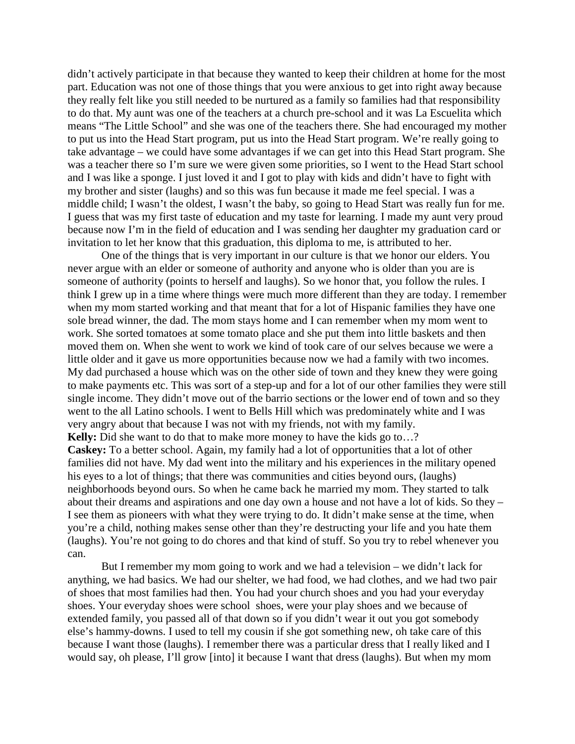didn't actively participate in that because they wanted to keep their children at home for the most part. Education was not one of those things that you were anxious to get into right away because they really felt like you still needed to be nurtured as a family so families had that responsibility to do that. My aunt was one of the teachers at a church pre-school and it was La Escuelita which means "The Little School" and she was one of the teachers there. She had encouraged my mother to put us into the Head Start program, put us into the Head Start program. We're really going to take advantage – we could have some advantages if we can get into this Head Start program. She was a teacher there so I'm sure we were given some priorities, so I went to the Head Start school and I was like a sponge. I just loved it and I got to play with kids and didn't have to fight with my brother and sister (laughs) and so this was fun because it made me feel special. I was a middle child; I wasn't the oldest, I wasn't the baby, so going to Head Start was really fun for me. I guess that was my first taste of education and my taste for learning. I made my aunt very proud because now I'm in the field of education and I was sending her daughter my graduation card or invitation to let her know that this graduation, this diploma to me, is attributed to her.

One of the things that is very important in our culture is that we honor our elders. You never argue with an elder or someone of authority and anyone who is older than you are is someone of authority (points to herself and laughs). So we honor that, you follow the rules. I think I grew up in a time where things were much more different than they are today. I remember when my mom started working and that meant that for a lot of Hispanic families they have one sole bread winner, the dad. The mom stays home and I can remember when my mom went to work. She sorted tomatoes at some tomato place and she put them into little baskets and then moved them on. When she went to work we kind of took care of our selves because we were a little older and it gave us more opportunities because now we had a family with two incomes. My dad purchased a house which was on the other side of town and they knew they were going to make payments etc. This was sort of a step-up and for a lot of our other families they were still single income. They didn't move out of the barrio sections or the lower end of town and so they went to the all Latino schools. I went to Bells Hill which was predominately white and I was very angry about that because I was not with my friends, not with my family. **Kelly:** Did she want to do that to make more money to have the kids go to...? **Caskey:** To a better school. Again, my family had a lot of opportunities that a lot of other families did not have. My dad went into the military and his experiences in the military opened his eyes to a lot of things; that there was communities and cities beyond ours, (laughs) neighborhoods beyond ours. So when he came back he married my mom. They started to talk about their dreams and aspirations and one day own a house and not have a lot of kids. So they – I see them as pioneers with what they were trying to do. It didn't make sense at the time, when you're a child, nothing makes sense other than they're destructing your life and you hate them (laughs). You're not going to do chores and that kind of stuff. So you try to rebel whenever you can.

But I remember my mom going to work and we had a television – we didn't lack for anything, we had basics. We had our shelter, we had food, we had clothes, and we had two pair of shoes that most families had then. You had your church shoes and you had your everyday shoes. Your everyday shoes were school shoes, were your play shoes and we because of extended family, you passed all of that down so if you didn't wear it out you got somebody else's hammy-downs. I used to tell my cousin if she got something new, oh take care of this because I want those (laughs). I remember there was a particular dress that I really liked and I would say, oh please, I'll grow [into] it because I want that dress (laughs). But when my mom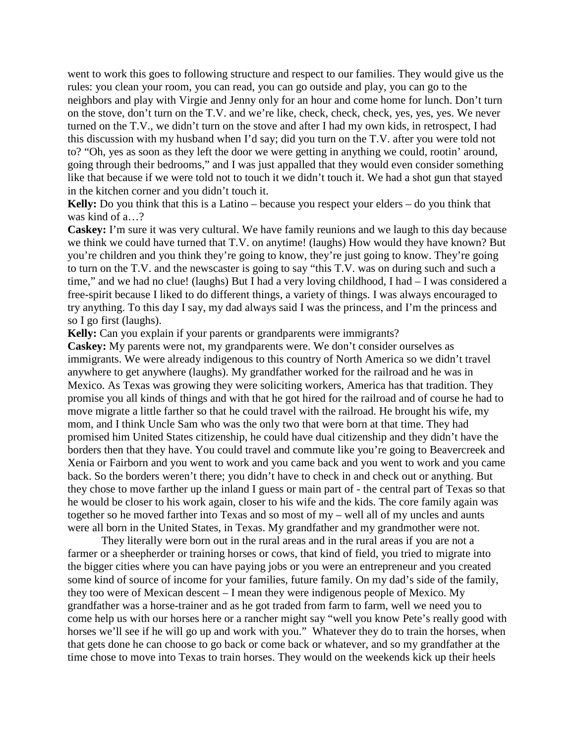went to work this goes to following structure and respect to our families. They would give us the rules: you clean your room, you can read, you can go outside and play, you can go to the neighbors and play with Virgie and Jenny only for an hour and come home for lunch. Don't turn on the stove, don't turn on the T.V. and we're like, check, check, check, yes, yes, yes. We never turned on the T.V., we didn't turn on the stove and after I had my own kids, in retrospect, I had this discussion with my husband when I'd say; did you turn on the T.V. after you were told not to? "Oh, yes as soon as they left the door we were getting in anything we could, rootin' around, going through their bedrooms," and I was just appalled that they would even consider something like that because if we were told not to touch it we didn't touch it. We had a shot gun that stayed in the kitchen corner and you didn't touch it.

**Kelly:** Do you think that this is a Latino – because you respect your elders – do you think that was kind of a…?

**Caskey:** I'm sure it was very cultural. We have family reunions and we laugh to this day because we think we could have turned that T.V. on anytime! (laughs) How would they have known? But you're children and you think they're going to know, they're just going to know. They're going to turn on the T.V. and the newscaster is going to say "this T.V. was on during such and such a time," and we had no clue! (laughs) But I had a very loving childhood, I had – I was considered a free-spirit because I liked to do different things, a variety of things. I was always encouraged to try anything. To this day I say, my dad always said I was the princess, and I'm the princess and so I go first (laughs).

**Kelly:** Can you explain if your parents or grandparents were immigrants?

**Caskey:** My parents were not, my grandparents were. We don't consider ourselves as immigrants. We were already indigenous to this country of North America so we didn't travel anywhere to get anywhere (laughs). My grandfather worked for the railroad and he was in Mexico. As Texas was growing they were soliciting workers, America has that tradition. They promise you all kinds of things and with that he got hired for the railroad and of course he had to move migrate a little farther so that he could travel with the railroad. He brought his wife, my mom, and I think Uncle Sam who was the only two that were born at that time. They had promised him United States citizenship, he could have dual citizenship and they didn't have the borders then that they have. You could travel and commute like you're going to Beavercreek and Xenia or Fairborn and you went to work and you came back and you went to work and you came back. So the borders weren't there; you didn't have to check in and check out or anything. But they chose to move farther up the inland I guess or main part of - the central part of Texas so that he would be closer to his work again, closer to his wife and the kids. The core family again was together so he moved farther into Texas and so most of my – well all of my uncles and aunts were all born in the United States, in Texas. My grandfather and my grandmother were not.

They literally were born out in the rural areas and in the rural areas if you are not a farmer or a sheepherder or training horses or cows, that kind of field, you tried to migrate into the bigger cities where you can have paying jobs or you were an entrepreneur and you created some kind of source of income for your families, future family. On my dad's side of the family, they too were of Mexican descent – I mean they were indigenous people of Mexico. My grandfather was a horse-trainer and as he got traded from farm to farm, well we need you to come help us with our horses here or a rancher might say "well you know Pete's really good with horses we'll see if he will go up and work with you." Whatever they do to train the horses, when that gets done he can choose to go back or come back or whatever, and so my grandfather at the time chose to move into Texas to train horses. They would on the weekends kick up their heels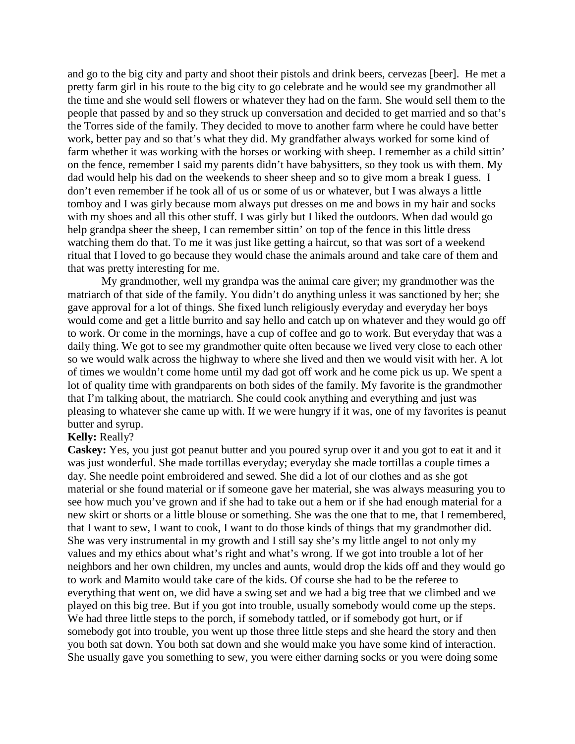and go to the big city and party and shoot their pistols and drink beers, cervezas [beer]. He met a pretty farm girl in his route to the big city to go celebrate and he would see my grandmother all the time and she would sell flowers or whatever they had on the farm. She would sell them to the people that passed by and so they struck up conversation and decided to get married and so that's the Torres side of the family. They decided to move to another farm where he could have better work, better pay and so that's what they did. My grandfather always worked for some kind of farm whether it was working with the horses or working with sheep. I remember as a child sittin' on the fence, remember I said my parents didn't have babysitters, so they took us with them. My dad would help his dad on the weekends to sheer sheep and so to give mom a break I guess. I don't even remember if he took all of us or some of us or whatever, but I was always a little tomboy and I was girly because mom always put dresses on me and bows in my hair and socks with my shoes and all this other stuff. I was girly but I liked the outdoors. When dad would go help grandpa sheer the sheep, I can remember sittin' on top of the fence in this little dress watching them do that. To me it was just like getting a haircut, so that was sort of a weekend ritual that I loved to go because they would chase the animals around and take care of them and that was pretty interesting for me.

My grandmother, well my grandpa was the animal care giver; my grandmother was the matriarch of that side of the family. You didn't do anything unless it was sanctioned by her; she gave approval for a lot of things. She fixed lunch religiously everyday and everyday her boys would come and get a little burrito and say hello and catch up on whatever and they would go off to work. Or come in the mornings, have a cup of coffee and go to work. But everyday that was a daily thing. We got to see my grandmother quite often because we lived very close to each other so we would walk across the highway to where she lived and then we would visit with her. A lot of times we wouldn't come home until my dad got off work and he come pick us up. We spent a lot of quality time with grandparents on both sides of the family. My favorite is the grandmother that I'm talking about, the matriarch. She could cook anything and everything and just was pleasing to whatever she came up with. If we were hungry if it was, one of my favorites is peanut butter and syrup.

#### **Kelly:** Really?

**Caskey:** Yes, you just got peanut butter and you poured syrup over it and you got to eat it and it was just wonderful. She made tortillas everyday; everyday she made tortillas a couple times a day. She needle point embroidered and sewed. She did a lot of our clothes and as she got material or she found material or if someone gave her material, she was always measuring you to see how much you've grown and if she had to take out a hem or if she had enough material for a new skirt or shorts or a little blouse or something. She was the one that to me, that I remembered, that I want to sew, I want to cook, I want to do those kinds of things that my grandmother did. She was very instrumental in my growth and I still say she's my little angel to not only my values and my ethics about what's right and what's wrong. If we got into trouble a lot of her neighbors and her own children, my uncles and aunts, would drop the kids off and they would go to work and Mamito would take care of the kids. Of course she had to be the referee to everything that went on, we did have a swing set and we had a big tree that we climbed and we played on this big tree. But if you got into trouble, usually somebody would come up the steps. We had three little steps to the porch, if somebody tattled, or if somebody got hurt, or if somebody got into trouble, you went up those three little steps and she heard the story and then you both sat down. You both sat down and she would make you have some kind of interaction. She usually gave you something to sew, you were either darning socks or you were doing some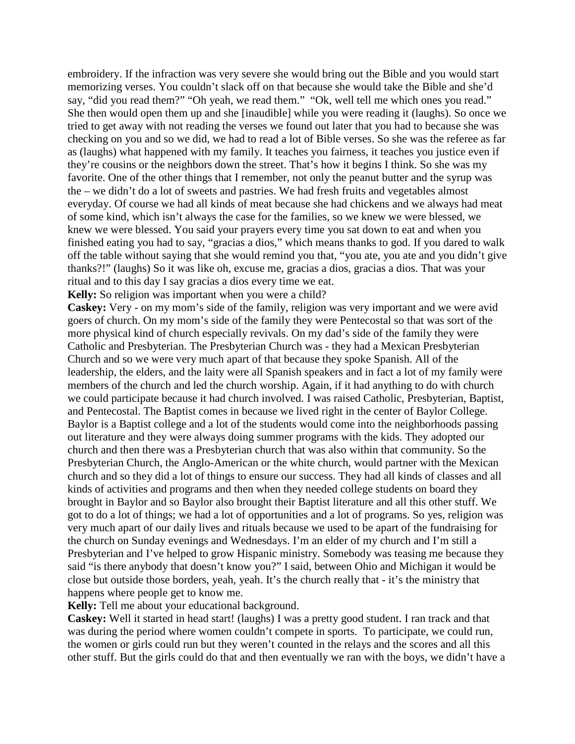embroidery. If the infraction was very severe she would bring out the Bible and you would start memorizing verses. You couldn't slack off on that because she would take the Bible and she'd say, "did you read them?" "Oh yeah, we read them." "Ok, well tell me which ones you read." She then would open them up and she [inaudible] while you were reading it (laughs). So once we tried to get away with not reading the verses we found out later that you had to because she was checking on you and so we did, we had to read a lot of Bible verses. So she was the referee as far as (laughs) what happened with my family. It teaches you fairness, it teaches you justice even if they're cousins or the neighbors down the street. That's how it begins I think. So she was my favorite. One of the other things that I remember, not only the peanut butter and the syrup was the – we didn't do a lot of sweets and pastries. We had fresh fruits and vegetables almost everyday. Of course we had all kinds of meat because she had chickens and we always had meat of some kind, which isn't always the case for the families, so we knew we were blessed, we knew we were blessed. You said your prayers every time you sat down to eat and when you finished eating you had to say, "gracias a dios," which means thanks to god. If you dared to walk off the table without saying that she would remind you that, "you ate, you ate and you didn't give thanks?!" (laughs) So it was like oh, excuse me, gracias a dios, gracias a dios. That was your ritual and to this day I say gracias a dios every time we eat.

**Kelly:** So religion was important when you were a child?

**Caskey:** Very - on my mom's side of the family, religion was very important and we were avid goers of church. On my mom's side of the family they were Pentecostal so that was sort of the more physical kind of church especially revivals. On my dad's side of the family they were Catholic and Presbyterian. The Presbyterian Church was - they had a Mexican Presbyterian Church and so we were very much apart of that because they spoke Spanish. All of the leadership, the elders, and the laity were all Spanish speakers and in fact a lot of my family were members of the church and led the church worship. Again, if it had anything to do with church we could participate because it had church involved. I was raised Catholic, Presbyterian, Baptist, and Pentecostal. The Baptist comes in because we lived right in the center of Baylor College. Baylor is a Baptist college and a lot of the students would come into the neighborhoods passing out literature and they were always doing summer programs with the kids. They adopted our church and then there was a Presbyterian church that was also within that community. So the Presbyterian Church, the Anglo-American or the white church, would partner with the Mexican church and so they did a lot of things to ensure our success. They had all kinds of classes and all kinds of activities and programs and then when they needed college students on board they brought in Baylor and so Baylor also brought their Baptist literature and all this other stuff. We got to do a lot of things; we had a lot of opportunities and a lot of programs. So yes, religion was very much apart of our daily lives and rituals because we used to be apart of the fundraising for the church on Sunday evenings and Wednesdays. I'm an elder of my church and I'm still a Presbyterian and I've helped to grow Hispanic ministry. Somebody was teasing me because they said "is there anybody that doesn't know you?" I said, between Ohio and Michigan it would be close but outside those borders, yeah, yeah. It's the church really that - it's the ministry that happens where people get to know me.

# **Kelly:** Tell me about your educational background.

**Caskey:** Well it started in head start! (laughs) I was a pretty good student. I ran track and that was during the period where women couldn't compete in sports. To participate, we could run, the women or girls could run but they weren't counted in the relays and the scores and all this other stuff. But the girls could do that and then eventually we ran with the boys, we didn't have a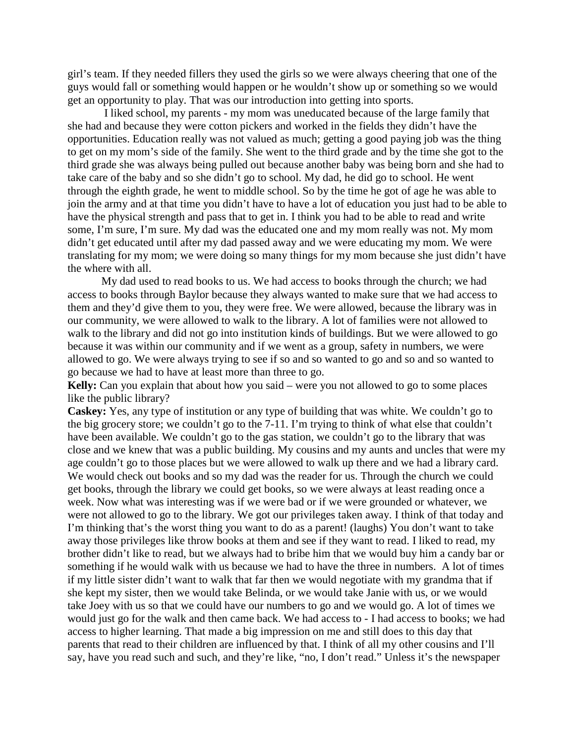girl's team. If they needed fillers they used the girls so we were always cheering that one of the guys would fall or something would happen or he wouldn't show up or something so we would get an opportunity to play. That was our introduction into getting into sports.

I liked school, my parents - my mom was uneducated because of the large family that she had and because they were cotton pickers and worked in the fields they didn't have the opportunities. Education really was not valued as much; getting a good paying job was the thing to get on my mom's side of the family. She went to the third grade and by the time she got to the third grade she was always being pulled out because another baby was being born and she had to take care of the baby and so she didn't go to school. My dad, he did go to school. He went through the eighth grade, he went to middle school. So by the time he got of age he was able to join the army and at that time you didn't have to have a lot of education you just had to be able to have the physical strength and pass that to get in. I think you had to be able to read and write some, I'm sure, I'm sure. My dad was the educated one and my mom really was not. My mom didn't get educated until after my dad passed away and we were educating my mom. We were translating for my mom; we were doing so many things for my mom because she just didn't have the where with all.

My dad used to read books to us. We had access to books through the church; we had access to books through Baylor because they always wanted to make sure that we had access to them and they'd give them to you, they were free. We were allowed, because the library was in our community, we were allowed to walk to the library. A lot of families were not allowed to walk to the library and did not go into institution kinds of buildings. But we were allowed to go because it was within our community and if we went as a group, safety in numbers, we were allowed to go. We were always trying to see if so and so wanted to go and so and so wanted to go because we had to have at least more than three to go.

**Kelly:** Can you explain that about how you said – were you not allowed to go to some places like the public library?

**Caskey:** Yes, any type of institution or any type of building that was white. We couldn't go to the big grocery store; we couldn't go to the 7-11. I'm trying to think of what else that couldn't have been available. We couldn't go to the gas station, we couldn't go to the library that was close and we knew that was a public building. My cousins and my aunts and uncles that were my age couldn't go to those places but we were allowed to walk up there and we had a library card. We would check out books and so my dad was the reader for us. Through the church we could get books, through the library we could get books, so we were always at least reading once a week. Now what was interesting was if we were bad or if we were grounded or whatever, we were not allowed to go to the library. We got our privileges taken away. I think of that today and I'm thinking that's the worst thing you want to do as a parent! (laughs) You don't want to take away those privileges like throw books at them and see if they want to read. I liked to read, my brother didn't like to read, but we always had to bribe him that we would buy him a candy bar or something if he would walk with us because we had to have the three in numbers. A lot of times if my little sister didn't want to walk that far then we would negotiate with my grandma that if she kept my sister, then we would take Belinda, or we would take Janie with us, or we would take Joey with us so that we could have our numbers to go and we would go. A lot of times we would just go for the walk and then came back. We had access to - I had access to books; we had access to higher learning. That made a big impression on me and still does to this day that parents that read to their children are influenced by that. I think of all my other cousins and I'll say, have you read such and such, and they're like, "no, I don't read." Unless it's the newspaper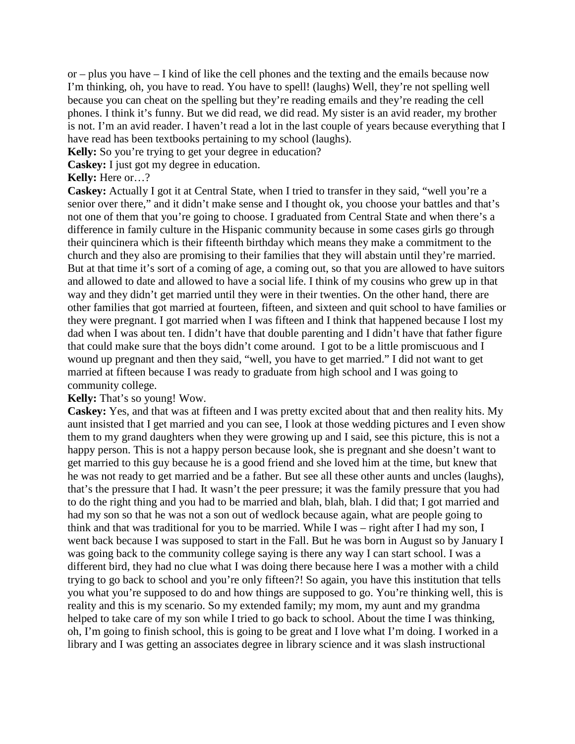or – plus you have – I kind of like the cell phones and the texting and the emails because now I'm thinking, oh, you have to read. You have to spell! (laughs) Well, they're not spelling well because you can cheat on the spelling but they're reading emails and they're reading the cell phones. I think it's funny. But we did read, we did read. My sister is an avid reader, my brother is not. I'm an avid reader. I haven't read a lot in the last couple of years because everything that I have read has been textbooks pertaining to my school (laughs).

**Kelly:** So you're trying to get your degree in education?

**Caskey:** I just got my degree in education.

# **Kelly:** Here or…?

**Caskey:** Actually I got it at Central State, when I tried to transfer in they said, "well you're a senior over there," and it didn't make sense and I thought ok, you choose your battles and that's not one of them that you're going to choose. I graduated from Central State and when there's a difference in family culture in the Hispanic community because in some cases girls go through their quincinera which is their fifteenth birthday which means they make a commitment to the church and they also are promising to their families that they will abstain until they're married. But at that time it's sort of a coming of age, a coming out, so that you are allowed to have suitors and allowed to date and allowed to have a social life. I think of my cousins who grew up in that way and they didn't get married until they were in their twenties. On the other hand, there are other families that got married at fourteen, fifteen, and sixteen and quit school to have families or they were pregnant. I got married when I was fifteen and I think that happened because I lost my dad when I was about ten. I didn't have that double parenting and I didn't have that father figure that could make sure that the boys didn't come around. I got to be a little promiscuous and I wound up pregnant and then they said, "well, you have to get married." I did not want to get married at fifteen because I was ready to graduate from high school and I was going to community college.

# **Kelly:** That's so young! Wow.

**Caskey:** Yes, and that was at fifteen and I was pretty excited about that and then reality hits. My aunt insisted that I get married and you can see, I look at those wedding pictures and I even show them to my grand daughters when they were growing up and I said, see this picture, this is not a happy person. This is not a happy person because look, she is pregnant and she doesn't want to get married to this guy because he is a good friend and she loved him at the time, but knew that he was not ready to get married and be a father. But see all these other aunts and uncles (laughs), that's the pressure that I had. It wasn't the peer pressure; it was the family pressure that you had to do the right thing and you had to be married and blah, blah, blah. I did that; I got married and had my son so that he was not a son out of wedlock because again, what are people going to think and that was traditional for you to be married. While I was – right after I had my son, I went back because I was supposed to start in the Fall. But he was born in August so by January I was going back to the community college saying is there any way I can start school. I was a different bird, they had no clue what I was doing there because here I was a mother with a child trying to go back to school and you're only fifteen?! So again, you have this institution that tells you what you're supposed to do and how things are supposed to go. You're thinking well, this is reality and this is my scenario. So my extended family; my mom, my aunt and my grandma helped to take care of my son while I tried to go back to school. About the time I was thinking, oh, I'm going to finish school, this is going to be great and I love what I'm doing. I worked in a library and I was getting an associates degree in library science and it was slash instructional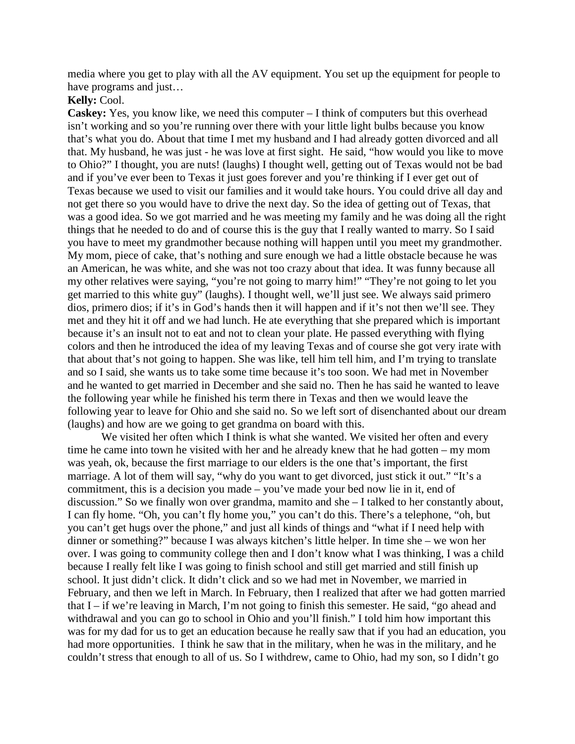media where you get to play with all the AV equipment. You set up the equipment for people to have programs and just…

# **Kelly:** Cool.

**Caskey:** Yes, you know like, we need this computer – I think of computers but this overhead isn't working and so you're running over there with your little light bulbs because you know that's what you do. About that time I met my husband and I had already gotten divorced and all that. My husband, he was just - he was love at first sight. He said, "how would you like to move to Ohio?" I thought, you are nuts! (laughs) I thought well, getting out of Texas would not be bad and if you've ever been to Texas it just goes forever and you're thinking if I ever get out of Texas because we used to visit our families and it would take hours. You could drive all day and not get there so you would have to drive the next day. So the idea of getting out of Texas, that was a good idea. So we got married and he was meeting my family and he was doing all the right things that he needed to do and of course this is the guy that I really wanted to marry. So I said you have to meet my grandmother because nothing will happen until you meet my grandmother. My mom, piece of cake, that's nothing and sure enough we had a little obstacle because he was an American, he was white, and she was not too crazy about that idea. It was funny because all my other relatives were saying, "you're not going to marry him!" "They're not going to let you get married to this white guy" (laughs). I thought well, we'll just see. We always said primero dios, primero dios; if it's in God's hands then it will happen and if it's not then we'll see. They met and they hit it off and we had lunch. He ate everything that she prepared which is important because it's an insult not to eat and not to clean your plate. He passed everything with flying colors and then he introduced the idea of my leaving Texas and of course she got very irate with that about that's not going to happen. She was like, tell him tell him, and I'm trying to translate and so I said, she wants us to take some time because it's too soon. We had met in November and he wanted to get married in December and she said no. Then he has said he wanted to leave the following year while he finished his term there in Texas and then we would leave the following year to leave for Ohio and she said no. So we left sort of disenchanted about our dream (laughs) and how are we going to get grandma on board with this.

We visited her often which I think is what she wanted. We visited her often and every time he came into town he visited with her and he already knew that he had gotten – my mom was yeah, ok, because the first marriage to our elders is the one that's important, the first marriage. A lot of them will say, "why do you want to get divorced, just stick it out." "It's a commitment, this is a decision you made – you've made your bed now lie in it, end of discussion." So we finally won over grandma, mamito and she – I talked to her constantly about, I can fly home. "Oh, you can't fly home you," you can't do this. There's a telephone, "oh, but you can't get hugs over the phone," and just all kinds of things and "what if I need help with dinner or something?" because I was always kitchen's little helper. In time she – we won her over. I was going to community college then and I don't know what I was thinking, I was a child because I really felt like I was going to finish school and still get married and still finish up school. It just didn't click. It didn't click and so we had met in November, we married in February, and then we left in March. In February, then I realized that after we had gotten married that I – if we're leaving in March, I'm not going to finish this semester. He said, "go ahead and withdrawal and you can go to school in Ohio and you'll finish." I told him how important this was for my dad for us to get an education because he really saw that if you had an education, you had more opportunities. I think he saw that in the military, when he was in the military, and he couldn't stress that enough to all of us. So I withdrew, came to Ohio, had my son, so I didn't go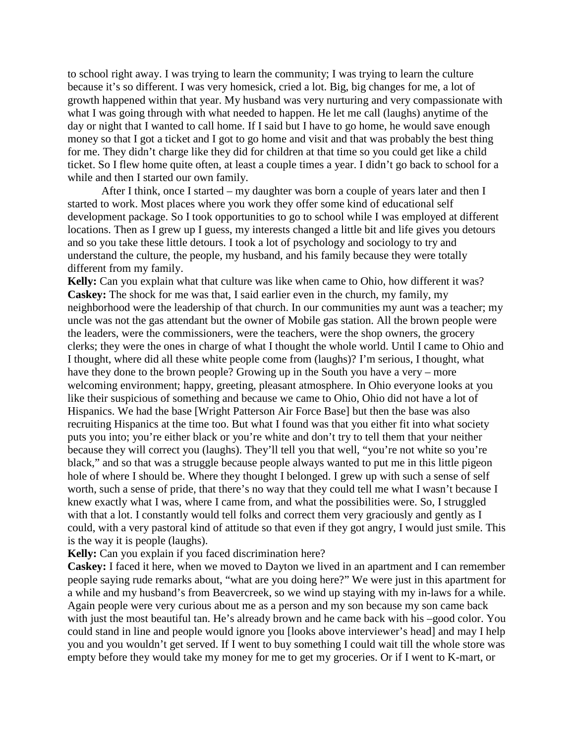to school right away. I was trying to learn the community; I was trying to learn the culture because it's so different. I was very homesick, cried a lot. Big, big changes for me, a lot of growth happened within that year. My husband was very nurturing and very compassionate with what I was going through with what needed to happen. He let me call (laughs) anytime of the day or night that I wanted to call home. If I said but I have to go home, he would save enough money so that I got a ticket and I got to go home and visit and that was probably the best thing for me. They didn't charge like they did for children at that time so you could get like a child ticket. So I flew home quite often, at least a couple times a year. I didn't go back to school for a while and then I started our own family.

After I think, once I started – my daughter was born a couple of years later and then I started to work. Most places where you work they offer some kind of educational self development package. So I took opportunities to go to school while I was employed at different locations. Then as I grew up I guess, my interests changed a little bit and life gives you detours and so you take these little detours. I took a lot of psychology and sociology to try and understand the culture, the people, my husband, and his family because they were totally different from my family.

**Kelly:** Can you explain what that culture was like when came to Ohio, how different it was? **Caskey:** The shock for me was that, I said earlier even in the church, my family, my neighborhood were the leadership of that church. In our communities my aunt was a teacher; my uncle was not the gas attendant but the owner of Mobile gas station. All the brown people were the leaders, were the commissioners, were the teachers, were the shop owners, the grocery clerks; they were the ones in charge of what I thought the whole world. Until I came to Ohio and I thought, where did all these white people come from (laughs)? I'm serious, I thought, what have they done to the brown people? Growing up in the South you have a very – more welcoming environment; happy, greeting, pleasant atmosphere. In Ohio everyone looks at you like their suspicious of something and because we came to Ohio, Ohio did not have a lot of Hispanics. We had the base [Wright Patterson Air Force Base] but then the base was also recruiting Hispanics at the time too. But what I found was that you either fit into what society puts you into; you're either black or you're white and don't try to tell them that your neither because they will correct you (laughs). They'll tell you that well, "you're not white so you're black," and so that was a struggle because people always wanted to put me in this little pigeon hole of where I should be. Where they thought I belonged. I grew up with such a sense of self worth, such a sense of pride, that there's no way that they could tell me what I wasn't because I knew exactly what I was, where I came from, and what the possibilities were. So, I struggled with that a lot. I constantly would tell folks and correct them very graciously and gently as I could, with a very pastoral kind of attitude so that even if they got angry, I would just smile. This is the way it is people (laughs).

#### **Kelly:** Can you explain if you faced discrimination here?

**Caskey:** I faced it here, when we moved to Dayton we lived in an apartment and I can remember people saying rude remarks about, "what are you doing here?" We were just in this apartment for a while and my husband's from Beavercreek, so we wind up staying with my in-laws for a while. Again people were very curious about me as a person and my son because my son came back with just the most beautiful tan. He's already brown and he came back with his –good color. You could stand in line and people would ignore you [looks above interviewer's head] and may I help you and you wouldn't get served. If I went to buy something I could wait till the whole store was empty before they would take my money for me to get my groceries. Or if I went to K-mart, or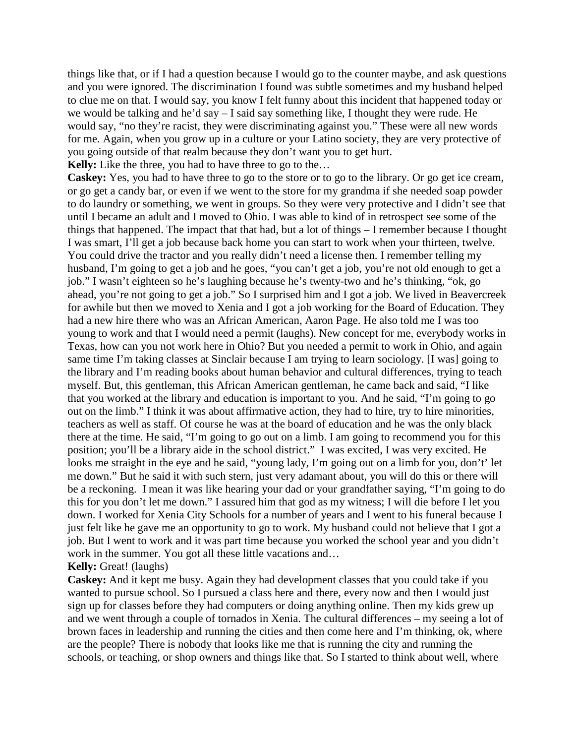things like that, or if I had a question because I would go to the counter maybe, and ask questions and you were ignored. The discrimination I found was subtle sometimes and my husband helped to clue me on that. I would say, you know I felt funny about this incident that happened today or we would be talking and he'd say – I said say something like, I thought they were rude. He would say, "no they're racist, they were discriminating against you." These were all new words for me. Again, when you grow up in a culture or your Latino society, they are very protective of you going outside of that realm because they don't want you to get hurt.

**Kelly:** Like the three, you had to have three to go to the…

**Caskey:** Yes, you had to have three to go to the store or to go to the library. Or go get ice cream, or go get a candy bar, or even if we went to the store for my grandma if she needed soap powder to do laundry or something, we went in groups. So they were very protective and I didn't see that until I became an adult and I moved to Ohio. I was able to kind of in retrospect see some of the things that happened. The impact that that had, but a lot of things – I remember because I thought I was smart, I'll get a job because back home you can start to work when your thirteen, twelve. You could drive the tractor and you really didn't need a license then. I remember telling my husband, I'm going to get a job and he goes, "you can't get a job, you're not old enough to get a job." I wasn't eighteen so he's laughing because he's twenty-two and he's thinking, "ok, go ahead, you're not going to get a job." So I surprised him and I got a job. We lived in Beavercreek for awhile but then we moved to Xenia and I got a job working for the Board of Education. They had a new hire there who was an African American, Aaron Page. He also told me I was too young to work and that I would need a permit (laughs). New concept for me, everybody works in Texas, how can you not work here in Ohio? But you needed a permit to work in Ohio, and again same time I'm taking classes at Sinclair because I am trying to learn sociology. [I was] going to the library and I'm reading books about human behavior and cultural differences, trying to teach myself. But, this gentleman, this African American gentleman, he came back and said, "I like that you worked at the library and education is important to you. And he said, "I'm going to go out on the limb." I think it was about affirmative action, they had to hire, try to hire minorities, teachers as well as staff. Of course he was at the board of education and he was the only black there at the time. He said, "I'm going to go out on a limb. I am going to recommend you for this position; you'll be a library aide in the school district." I was excited, I was very excited. He looks me straight in the eye and he said, "young lady, I'm going out on a limb for you, don't' let me down." But he said it with such stern, just very adamant about, you will do this or there will be a reckoning. I mean it was like hearing your dad or your grandfather saying, "I'm going to do this for you don't let me down." I assured him that god as my witness; I will die before I let you down. I worked for Xenia City Schools for a number of years and I went to his funeral because I just felt like he gave me an opportunity to go to work. My husband could not believe that I got a job. But I went to work and it was part time because you worked the school year and you didn't work in the summer. You got all these little vacations and...

#### **Kelly:** Great! (laughs)

**Caskey:** And it kept me busy. Again they had development classes that you could take if you wanted to pursue school. So I pursued a class here and there, every now and then I would just sign up for classes before they had computers or doing anything online. Then my kids grew up and we went through a couple of tornados in Xenia. The cultural differences – my seeing a lot of brown faces in leadership and running the cities and then come here and I'm thinking, ok, where are the people? There is nobody that looks like me that is running the city and running the schools, or teaching, or shop owners and things like that. So I started to think about well, where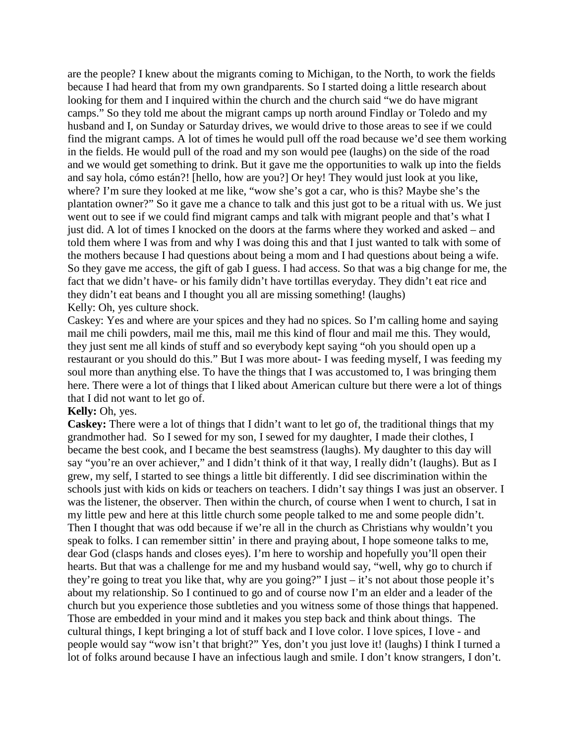are the people? I knew about the migrants coming to Michigan, to the North, to work the fields because I had heard that from my own grandparents. So I started doing a little research about looking for them and I inquired within the church and the church said "we do have migrant camps." So they told me about the migrant camps up north around Findlay or Toledo and my husband and I, on Sunday or Saturday drives, we would drive to those areas to see if we could find the migrant camps. A lot of times he would pull off the road because we'd see them working in the fields. He would pull of the road and my son would pee (laughs) on the side of the road and we would get something to drink. But it gave me the opportunities to walk up into the fields and say hola, cómo están?! [hello, how are you?] Or hey! They would just look at you like, where? I'm sure they looked at me like, "wow she's got a car, who is this? Maybe she's the plantation owner?" So it gave me a chance to talk and this just got to be a ritual with us. We just went out to see if we could find migrant camps and talk with migrant people and that's what I just did. A lot of times I knocked on the doors at the farms where they worked and asked – and told them where I was from and why I was doing this and that I just wanted to talk with some of the mothers because I had questions about being a mom and I had questions about being a wife. So they gave me access, the gift of gab I guess. I had access. So that was a big change for me, the fact that we didn't have- or his family didn't have tortillas everyday. They didn't eat rice and they didn't eat beans and I thought you all are missing something! (laughs) Kelly: Oh, yes culture shock.

Caskey: Yes and where are your spices and they had no spices. So I'm calling home and saying mail me chili powders, mail me this, mail me this kind of flour and mail me this. They would, they just sent me all kinds of stuff and so everybody kept saying "oh you should open up a restaurant or you should do this." But I was more about- I was feeding myself, I was feeding my soul more than anything else. To have the things that I was accustomed to, I was bringing them here. There were a lot of things that I liked about American culture but there were a lot of things that I did not want to let go of.

# **Kelly:** Oh, yes.

**Caskey:** There were a lot of things that I didn't want to let go of, the traditional things that my grandmother had. So I sewed for my son, I sewed for my daughter, I made their clothes, I became the best cook, and I became the best seamstress (laughs). My daughter to this day will say "you're an over achiever," and I didn't think of it that way, I really didn't (laughs). But as I grew, my self, I started to see things a little bit differently. I did see discrimination within the schools just with kids on kids or teachers on teachers. I didn't say things I was just an observer. I was the listener, the observer. Then within the church, of course when I went to church, I sat in my little pew and here at this little church some people talked to me and some people didn't. Then I thought that was odd because if we're all in the church as Christians why wouldn't you speak to folks. I can remember sittin' in there and praying about, I hope someone talks to me, dear God (clasps hands and closes eyes). I'm here to worship and hopefully you'll open their hearts. But that was a challenge for me and my husband would say, "well, why go to church if they're going to treat you like that, why are you going?" I just – it's not about those people it's about my relationship. So I continued to go and of course now I'm an elder and a leader of the church but you experience those subtleties and you witness some of those things that happened. Those are embedded in your mind and it makes you step back and think about things. The cultural things, I kept bringing a lot of stuff back and I love color. I love spices, I love - and people would say "wow isn't that bright?" Yes, don't you just love it! (laughs) I think I turned a lot of folks around because I have an infectious laugh and smile. I don't know strangers, I don't.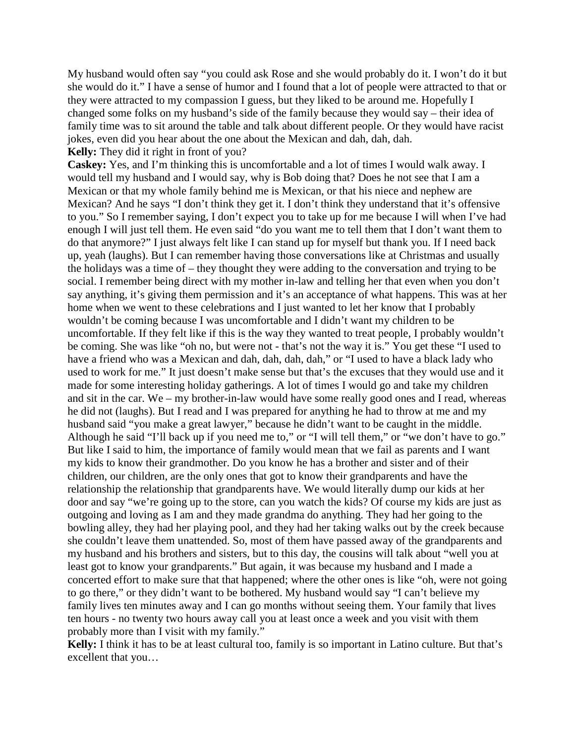My husband would often say "you could ask Rose and she would probably do it. I won't do it but she would do it." I have a sense of humor and I found that a lot of people were attracted to that or they were attracted to my compassion I guess, but they liked to be around me. Hopefully I changed some folks on my husband's side of the family because they would say – their idea of family time was to sit around the table and talk about different people. Or they would have racist jokes, even did you hear about the one about the Mexican and dah, dah, dah. **Kelly:** They did it right in front of you?

**Caskey:** Yes, and I'm thinking this is uncomfortable and a lot of times I would walk away. I would tell my husband and I would say, why is Bob doing that? Does he not see that I am a Mexican or that my whole family behind me is Mexican, or that his niece and nephew are Mexican? And he says "I don't think they get it. I don't think they understand that it's offensive to you." So I remember saying, I don't expect you to take up for me because I will when I've had enough I will just tell them. He even said "do you want me to tell them that I don't want them to do that anymore?" I just always felt like I can stand up for myself but thank you. If I need back up, yeah (laughs). But I can remember having those conversations like at Christmas and usually the holidays was a time of – they thought they were adding to the conversation and trying to be social. I remember being direct with my mother in-law and telling her that even when you don't say anything, it's giving them permission and it's an acceptance of what happens. This was at her home when we went to these celebrations and I just wanted to let her know that I probably wouldn't be coming because I was uncomfortable and I didn't want my children to be uncomfortable. If they felt like if this is the way they wanted to treat people, I probably wouldn't be coming. She was like "oh no, but were not - that's not the way it is." You get these "I used to have a friend who was a Mexican and dah, dah, dah, dah," or "I used to have a black lady who used to work for me." It just doesn't make sense but that's the excuses that they would use and it made for some interesting holiday gatherings. A lot of times I would go and take my children and sit in the car. We – my brother-in-law would have some really good ones and I read, whereas he did not (laughs). But I read and I was prepared for anything he had to throw at me and my husband said "you make a great lawyer," because he didn't want to be caught in the middle. Although he said "I'll back up if you need me to," or "I will tell them," or "we don't have to go." But like I said to him, the importance of family would mean that we fail as parents and I want my kids to know their grandmother. Do you know he has a brother and sister and of their children, our children, are the only ones that got to know their grandparents and have the relationship the relationship that grandparents have. We would literally dump our kids at her door and say "we're going up to the store, can you watch the kids? Of course my kids are just as outgoing and loving as I am and they made grandma do anything. They had her going to the bowling alley, they had her playing pool, and they had her taking walks out by the creek because she couldn't leave them unattended. So, most of them have passed away of the grandparents and my husband and his brothers and sisters, but to this day, the cousins will talk about "well you at least got to know your grandparents." But again, it was because my husband and I made a concerted effort to make sure that that happened; where the other ones is like "oh, were not going to go there," or they didn't want to be bothered. My husband would say "I can't believe my family lives ten minutes away and I can go months without seeing them. Your family that lives ten hours - no twenty two hours away call you at least once a week and you visit with them probably more than I visit with my family."

**Kelly:** I think it has to be at least cultural too, family is so important in Latino culture. But that's excellent that you…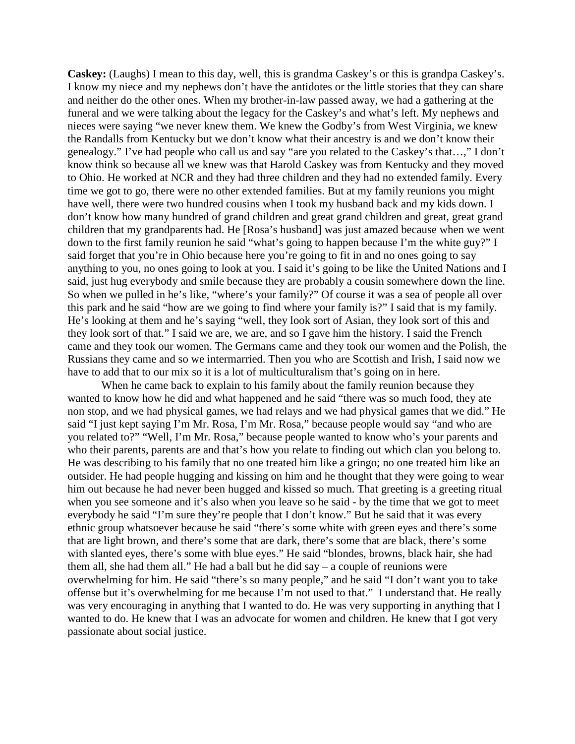**Caskey:** (Laughs) I mean to this day, well, this is grandma Caskey's or this is grandpa Caskey's. I know my niece and my nephews don't have the antidotes or the little stories that they can share and neither do the other ones. When my brother-in-law passed away, we had a gathering at the funeral and we were talking about the legacy for the Caskey's and what's left. My nephews and nieces were saying "we never knew them. We knew the Godby's from West Virginia, we knew the Randalls from Kentucky but we don't know what their ancestry is and we don't know their genealogy." I've had people who call us and say "are you related to the Caskey's that…," I don't know think so because all we knew was that Harold Caskey was from Kentucky and they moved to Ohio. He worked at NCR and they had three children and they had no extended family. Every time we got to go, there were no other extended families. But at my family reunions you might have well, there were two hundred cousins when I took my husband back and my kids down. I don't know how many hundred of grand children and great grand children and great, great grand children that my grandparents had. He [Rosa's husband] was just amazed because when we went down to the first family reunion he said "what's going to happen because I'm the white guy?" I said forget that you're in Ohio because here you're going to fit in and no ones going to say anything to you, no ones going to look at you. I said it's going to be like the United Nations and I said, just hug everybody and smile because they are probably a cousin somewhere down the line. So when we pulled in he's like, "where's your family?" Of course it was a sea of people all over this park and he said "how are we going to find where your family is?" I said that is my family. He's looking at them and he's saying "well, they look sort of Asian, they look sort of this and they look sort of that." I said we are, we are, and so I gave him the history. I said the French came and they took our women. The Germans came and they took our women and the Polish, the Russians they came and so we intermarried. Then you who are Scottish and Irish, I said now we have to add that to our mix so it is a lot of multiculturalism that's going on in here.

When he came back to explain to his family about the family reunion because they wanted to know how he did and what happened and he said "there was so much food, they ate non stop, and we had physical games, we had relays and we had physical games that we did." He said "I just kept saying I'm Mr. Rosa, I'm Mr. Rosa," because people would say "and who are you related to?" "Well, I'm Mr. Rosa," because people wanted to know who's your parents and who their parents, parents are and that's how you relate to finding out which clan you belong to. He was describing to his family that no one treated him like a gringo; no one treated him like an outsider. He had people hugging and kissing on him and he thought that they were going to wear him out because he had never been hugged and kissed so much. That greeting is a greeting ritual when you see someone and it's also when you leave so he said - by the time that we got to meet everybody he said "I'm sure they're people that I don't know." But he said that it was every ethnic group whatsoever because he said "there's some white with green eyes and there's some that are light brown, and there's some that are dark, there's some that are black, there's some with slanted eyes, there's some with blue eyes." He said "blondes, browns, black hair, she had them all, she had them all." He had a ball but he did say – a couple of reunions were overwhelming for him. He said "there's so many people," and he said "I don't want you to take offense but it's overwhelming for me because I'm not used to that." I understand that. He really was very encouraging in anything that I wanted to do. He was very supporting in anything that I wanted to do. He knew that I was an advocate for women and children. He knew that I got very passionate about social justice.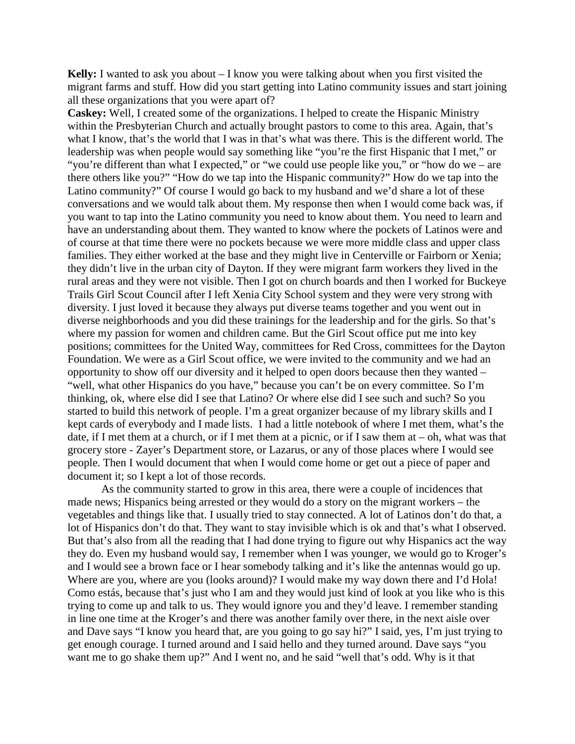**Kelly:** I wanted to ask you about – I know you were talking about when you first visited the migrant farms and stuff. How did you start getting into Latino community issues and start joining all these organizations that you were apart of?

**Caskey:** Well, I created some of the organizations. I helped to create the Hispanic Ministry within the Presbyterian Church and actually brought pastors to come to this area. Again, that's what I know, that's the world that I was in that's what was there. This is the different world. The leadership was when people would say something like "you're the first Hispanic that I met," or "you're different than what I expected," or "we could use people like you," or "how do we – are there others like you?" "How do we tap into the Hispanic community?" How do we tap into the Latino community?" Of course I would go back to my husband and we'd share a lot of these conversations and we would talk about them. My response then when I would come back was, if you want to tap into the Latino community you need to know about them. You need to learn and have an understanding about them. They wanted to know where the pockets of Latinos were and of course at that time there were no pockets because we were more middle class and upper class families. They either worked at the base and they might live in Centerville or Fairborn or Xenia; they didn't live in the urban city of Dayton. If they were migrant farm workers they lived in the rural areas and they were not visible. Then I got on church boards and then I worked for Buckeye Trails Girl Scout Council after I left Xenia City School system and they were very strong with diversity. I just loved it because they always put diverse teams together and you went out in diverse neighborhoods and you did these trainings for the leadership and for the girls. So that's where my passion for women and children came. But the Girl Scout office put me into key positions; committees for the United Way, committees for Red Cross, committees for the Dayton Foundation. We were as a Girl Scout office, we were invited to the community and we had an opportunity to show off our diversity and it helped to open doors because then they wanted – "well, what other Hispanics do you have," because you can't be on every committee. So I'm thinking, ok, where else did I see that Latino? Or where else did I see such and such? So you started to build this network of people. I'm a great organizer because of my library skills and I kept cards of everybody and I made lists. I had a little notebook of where I met them, what's the date, if I met them at a church, or if I met them at a picnic, or if I saw them at – oh, what was that grocery store - Zayer's Department store, or Lazarus, or any of those places where I would see people. Then I would document that when I would come home or get out a piece of paper and document it; so I kept a lot of those records.

As the community started to grow in this area, there were a couple of incidences that made news; Hispanics being arrested or they would do a story on the migrant workers – the vegetables and things like that. I usually tried to stay connected. A lot of Latinos don't do that, a lot of Hispanics don't do that. They want to stay invisible which is ok and that's what I observed. But that's also from all the reading that I had done trying to figure out why Hispanics act the way they do. Even my husband would say, I remember when I was younger, we would go to Kroger's and I would see a brown face or I hear somebody talking and it's like the antennas would go up. Where are you, where are you (looks around)? I would make my way down there and I'd Hola! Como estás, because that's just who I am and they would just kind of look at you like who is this trying to come up and talk to us. They would ignore you and they'd leave. I remember standing in line one time at the Kroger's and there was another family over there, in the next aisle over and Dave says "I know you heard that, are you going to go say hi?" I said, yes, I'm just trying to get enough courage. I turned around and I said hello and they turned around. Dave says "you want me to go shake them up?" And I went no, and he said "well that's odd. Why is it that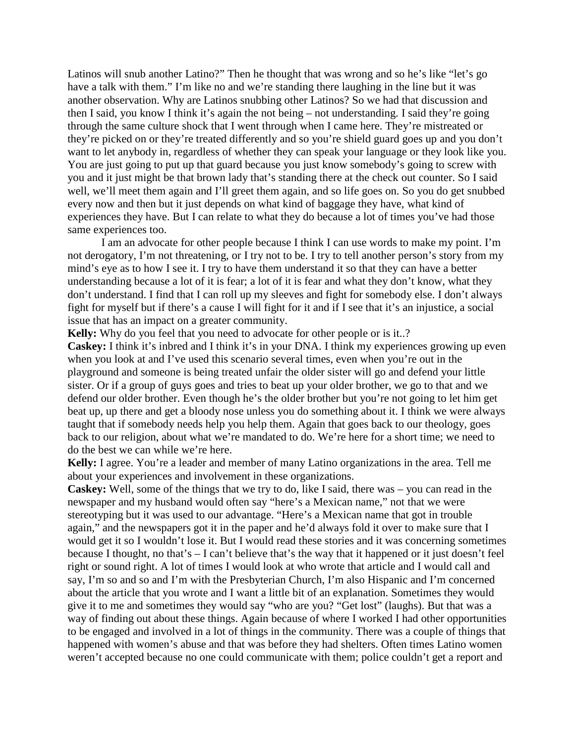Latinos will snub another Latino?" Then he thought that was wrong and so he's like "let's go have a talk with them." I'm like no and we're standing there laughing in the line but it was another observation. Why are Latinos snubbing other Latinos? So we had that discussion and then I said, you know I think it's again the not being – not understanding. I said they're going through the same culture shock that I went through when I came here. They're mistreated or they're picked on or they're treated differently and so you're shield guard goes up and you don't want to let anybody in, regardless of whether they can speak your language or they look like you. You are just going to put up that guard because you just know somebody's going to screw with you and it just might be that brown lady that's standing there at the check out counter. So I said well, we'll meet them again and I'll greet them again, and so life goes on. So you do get snubbed every now and then but it just depends on what kind of baggage they have, what kind of experiences they have. But I can relate to what they do because a lot of times you've had those same experiences too.

I am an advocate for other people because I think I can use words to make my point. I'm not derogatory, I'm not threatening, or I try not to be. I try to tell another person's story from my mind's eye as to how I see it. I try to have them understand it so that they can have a better understanding because a lot of it is fear; a lot of it is fear and what they don't know, what they don't understand. I find that I can roll up my sleeves and fight for somebody else. I don't always fight for myself but if there's a cause I will fight for it and if I see that it's an injustice, a social issue that has an impact on a greater community.

**Kelly:** Why do you feel that you need to advocate for other people or is it..?

**Caskey:** I think it's inbred and I think it's in your DNA. I think my experiences growing up even when you look at and I've used this scenario several times, even when you're out in the playground and someone is being treated unfair the older sister will go and defend your little sister. Or if a group of guys goes and tries to beat up your older brother, we go to that and we defend our older brother. Even though he's the older brother but you're not going to let him get beat up, up there and get a bloody nose unless you do something about it. I think we were always taught that if somebody needs help you help them. Again that goes back to our theology, goes back to our religion, about what we're mandated to do. We're here for a short time; we need to do the best we can while we're here.

**Kelly:** I agree. You're a leader and member of many Latino organizations in the area. Tell me about your experiences and involvement in these organizations.

**Caskey:** Well, some of the things that we try to do, like I said, there was – you can read in the newspaper and my husband would often say "here's a Mexican name," not that we were stereotyping but it was used to our advantage. "Here's a Mexican name that got in trouble again," and the newspapers got it in the paper and he'd always fold it over to make sure that I would get it so I wouldn't lose it. But I would read these stories and it was concerning sometimes because I thought, no that's – I can't believe that's the way that it happened or it just doesn't feel right or sound right. A lot of times I would look at who wrote that article and I would call and say, I'm so and so and I'm with the Presbyterian Church, I'm also Hispanic and I'm concerned about the article that you wrote and I want a little bit of an explanation. Sometimes they would give it to me and sometimes they would say "who are you? "Get lost" (laughs). But that was a way of finding out about these things. Again because of where I worked I had other opportunities to be engaged and involved in a lot of things in the community. There was a couple of things that happened with women's abuse and that was before they had shelters. Often times Latino women weren't accepted because no one could communicate with them; police couldn't get a report and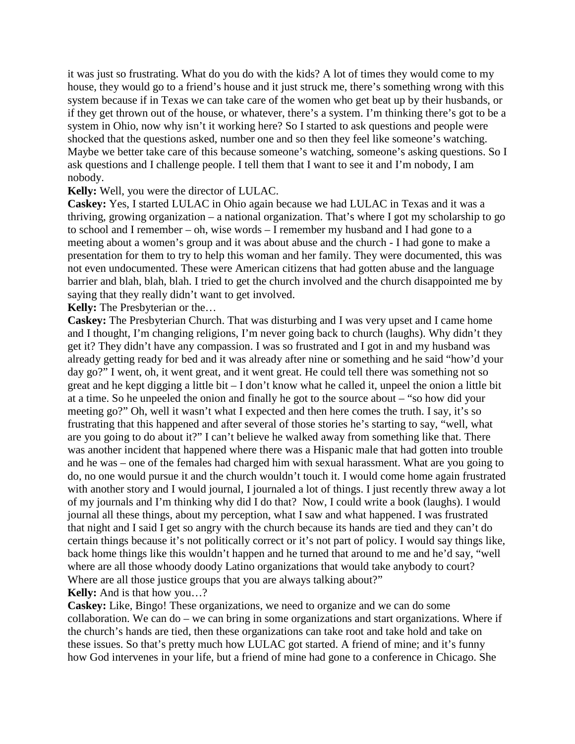it was just so frustrating. What do you do with the kids? A lot of times they would come to my house, they would go to a friend's house and it just struck me, there's something wrong with this system because if in Texas we can take care of the women who get beat up by their husbands, or if they get thrown out of the house, or whatever, there's a system. I'm thinking there's got to be a system in Ohio, now why isn't it working here? So I started to ask questions and people were shocked that the questions asked, number one and so then they feel like someone's watching. Maybe we better take care of this because someone's watching, someone's asking questions. So I ask questions and I challenge people. I tell them that I want to see it and I'm nobody, I am nobody.

**Kelly:** Well, you were the director of LULAC.

**Caskey:** Yes, I started LULAC in Ohio again because we had LULAC in Texas and it was a thriving, growing organization – a national organization. That's where I got my scholarship to go to school and I remember – oh, wise words – I remember my husband and I had gone to a meeting about a women's group and it was about abuse and the church - I had gone to make a presentation for them to try to help this woman and her family. They were documented, this was not even undocumented. These were American citizens that had gotten abuse and the language barrier and blah, blah, blah. I tried to get the church involved and the church disappointed me by saying that they really didn't want to get involved.

**Kelly:** The Presbyterian or the…

**Caskey:** The Presbyterian Church. That was disturbing and I was very upset and I came home and I thought, I'm changing religions, I'm never going back to church (laughs). Why didn't they get it? They didn't have any compassion. I was so frustrated and I got in and my husband was already getting ready for bed and it was already after nine or something and he said "how'd your day go?" I went, oh, it went great, and it went great. He could tell there was something not so great and he kept digging a little bit – I don't know what he called it, unpeel the onion a little bit at a time. So he unpeeled the onion and finally he got to the source about – "so how did your meeting go?" Oh, well it wasn't what I expected and then here comes the truth. I say, it's so frustrating that this happened and after several of those stories he's starting to say, "well, what are you going to do about it?" I can't believe he walked away from something like that. There was another incident that happened where there was a Hispanic male that had gotten into trouble and he was – one of the females had charged him with sexual harassment. What are you going to do, no one would pursue it and the church wouldn't touch it. I would come home again frustrated with another story and I would journal, I journaled a lot of things. I just recently threw away a lot of my journals and I'm thinking why did I do that? Now, I could write a book (laughs). I would journal all these things, about my perception, what I saw and what happened. I was frustrated that night and I said I get so angry with the church because its hands are tied and they can't do certain things because it's not politically correct or it's not part of policy. I would say things like, back home things like this wouldn't happen and he turned that around to me and he'd say, "well where are all those whoody doody Latino organizations that would take anybody to court? Where are all those justice groups that you are always talking about?"

**Kelly:** And is that how you…?

**Caskey:** Like, Bingo! These organizations, we need to organize and we can do some collaboration. We can do – we can bring in some organizations and start organizations. Where if the church's hands are tied, then these organizations can take root and take hold and take on these issues. So that's pretty much how LULAC got started. A friend of mine; and it's funny how God intervenes in your life, but a friend of mine had gone to a conference in Chicago. She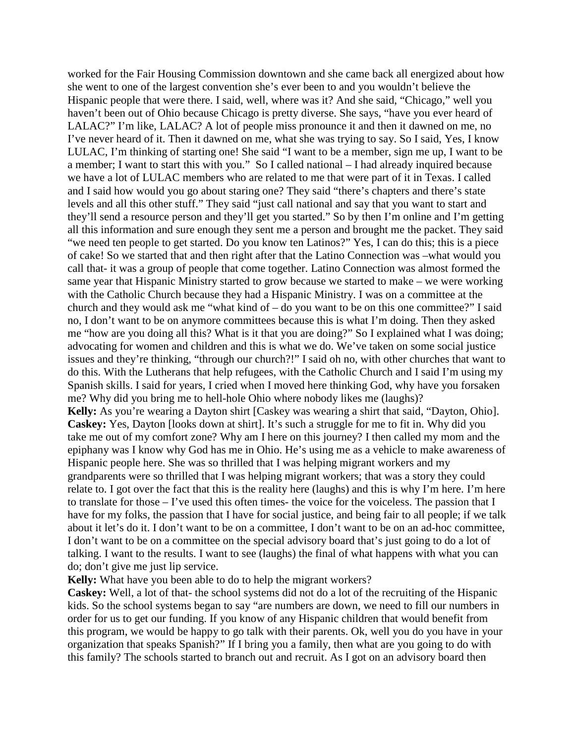worked for the Fair Housing Commission downtown and she came back all energized about how she went to one of the largest convention she's ever been to and you wouldn't believe the Hispanic people that were there. I said, well, where was it? And she said, "Chicago," well you haven't been out of Ohio because Chicago is pretty diverse. She says, "have you ever heard of LALAC?" I'm like, LALAC? A lot of people miss pronounce it and then it dawned on me, no I've never heard of it. Then it dawned on me, what she was trying to say. So I said, Yes, I know LULAC, I'm thinking of starting one! She said "I want to be a member, sign me up, I want to be a member; I want to start this with you." So I called national – I had already inquired because we have a lot of LULAC members who are related to me that were part of it in Texas. I called and I said how would you go about staring one? They said "there's chapters and there's state levels and all this other stuff." They said "just call national and say that you want to start and they'll send a resource person and they'll get you started." So by then I'm online and I'm getting all this information and sure enough they sent me a person and brought me the packet. They said "we need ten people to get started. Do you know ten Latinos?" Yes, I can do this; this is a piece of cake! So we started that and then right after that the Latino Connection was –what would you call that- it was a group of people that come together. Latino Connection was almost formed the same year that Hispanic Ministry started to grow because we started to make – we were working with the Catholic Church because they had a Hispanic Ministry. I was on a committee at the church and they would ask me "what kind of  $-$  do you want to be on this one committee?" I said no, I don't want to be on anymore committees because this is what I'm doing. Then they asked me "how are you doing all this? What is it that you are doing?" So I explained what I was doing; advocating for women and children and this is what we do. We've taken on some social justice issues and they're thinking, "through our church?!" I said oh no, with other churches that want to do this. With the Lutherans that help refugees, with the Catholic Church and I said I'm using my Spanish skills. I said for years, I cried when I moved here thinking God, why have you forsaken me? Why did you bring me to hell-hole Ohio where nobody likes me (laughs)? **Kelly:** As you're wearing a Dayton shirt [Caskey was wearing a shirt that said, "Dayton, Ohio]. **Caskey:** Yes, Dayton [looks down at shirt]. It's such a struggle for me to fit in. Why did you take me out of my comfort zone? Why am I here on this journey? I then called my mom and the epiphany was I know why God has me in Ohio. He's using me as a vehicle to make awareness of Hispanic people here. She was so thrilled that I was helping migrant workers and my grandparents were so thrilled that I was helping migrant workers; that was a story they could relate to. I got over the fact that this is the reality here (laughs) and this is why I'm here. I'm here to translate for those – I've used this often times- the voice for the voiceless. The passion that I have for my folks, the passion that I have for social justice, and being fair to all people; if we talk about it let's do it. I don't want to be on a committee, I don't want to be on an ad-hoc committee, I don't want to be on a committee on the special advisory board that's just going to do a lot of talking. I want to the results. I want to see (laughs) the final of what happens with what you can do; don't give me just lip service.

**Kelly:** What have you been able to do to help the migrant workers?

**Caskey:** Well, a lot of that- the school systems did not do a lot of the recruiting of the Hispanic kids. So the school systems began to say "are numbers are down, we need to fill our numbers in order for us to get our funding. If you know of any Hispanic children that would benefit from this program, we would be happy to go talk with their parents. Ok, well you do you have in your organization that speaks Spanish?" If I bring you a family, then what are you going to do with this family? The schools started to branch out and recruit. As I got on an advisory board then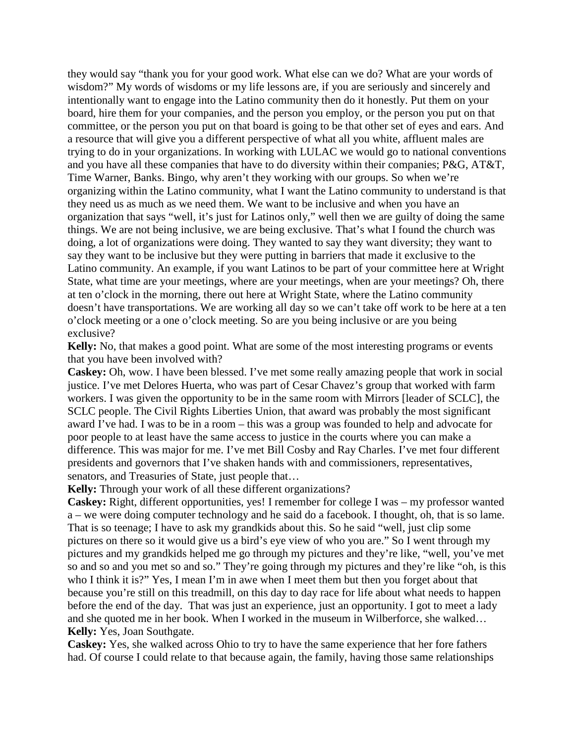they would say "thank you for your good work. What else can we do? What are your words of wisdom?" My words of wisdoms or my life lessons are, if you are seriously and sincerely and intentionally want to engage into the Latino community then do it honestly. Put them on your board, hire them for your companies, and the person you employ, or the person you put on that committee, or the person you put on that board is going to be that other set of eyes and ears. And a resource that will give you a different perspective of what all you white, affluent males are trying to do in your organizations. In working with LULAC we would go to national conventions and you have all these companies that have to do diversity within their companies; P&G, AT&T, Time Warner, Banks. Bingo, why aren't they working with our groups. So when we're organizing within the Latino community, what I want the Latino community to understand is that they need us as much as we need them. We want to be inclusive and when you have an organization that says "well, it's just for Latinos only," well then we are guilty of doing the same things. We are not being inclusive, we are being exclusive. That's what I found the church was doing, a lot of organizations were doing. They wanted to say they want diversity; they want to say they want to be inclusive but they were putting in barriers that made it exclusive to the Latino community. An example, if you want Latinos to be part of your committee here at Wright State, what time are your meetings, where are your meetings, when are your meetings? Oh, there at ten o'clock in the morning, there out here at Wright State, where the Latino community doesn't have transportations. We are working all day so we can't take off work to be here at a ten o'clock meeting or a one o'clock meeting. So are you being inclusive or are you being exclusive?

**Kelly:** No, that makes a good point. What are some of the most interesting programs or events that you have been involved with?

**Caskey:** Oh, wow. I have been blessed. I've met some really amazing people that work in social justice. I've met Delores Huerta, who was part of Cesar Chavez's group that worked with farm workers. I was given the opportunity to be in the same room with Mirrors [leader of SCLC], the SCLC people. The Civil Rights Liberties Union, that award was probably the most significant award I've had. I was to be in a room – this was a group was founded to help and advocate for poor people to at least have the same access to justice in the courts where you can make a difference. This was major for me. I've met Bill Cosby and Ray Charles. I've met four different presidents and governors that I've shaken hands with and commissioners, representatives, senators, and Treasuries of State, just people that...

**Kelly:** Through your work of all these different organizations?

**Caskey:** Right, different opportunities, yes! I remember for college I was – my professor wanted a – we were doing computer technology and he said do a facebook. I thought, oh, that is so lame. That is so teenage; I have to ask my grandkids about this. So he said "well, just clip some pictures on there so it would give us a bird's eye view of who you are." So I went through my pictures and my grandkids helped me go through my pictures and they're like, "well, you've met so and so and you met so and so." They're going through my pictures and they're like "oh, is this who I think it is?" Yes, I mean I'm in awe when I meet them but then you forget about that because you're still on this treadmill, on this day to day race for life about what needs to happen before the end of the day. That was just an experience, just an opportunity. I got to meet a lady and she quoted me in her book. When I worked in the museum in Wilberforce, she walked… **Kelly:** Yes, Joan Southgate.

**Caskey:** Yes, she walked across Ohio to try to have the same experience that her fore fathers had. Of course I could relate to that because again, the family, having those same relationships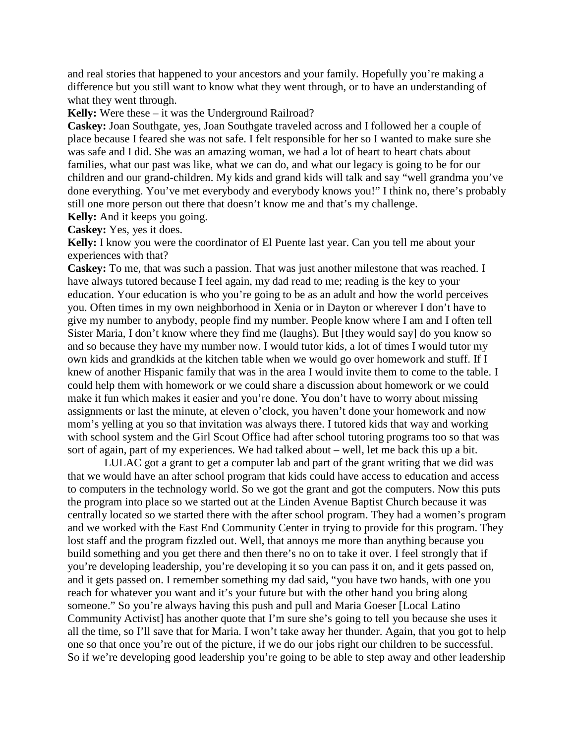and real stories that happened to your ancestors and your family. Hopefully you're making a difference but you still want to know what they went through, or to have an understanding of what they went through.

**Kelly:** Were these – it was the Underground Railroad?

**Caskey:** Joan Southgate, yes, Joan Southgate traveled across and I followed her a couple of place because I feared she was not safe. I felt responsible for her so I wanted to make sure she was safe and I did. She was an amazing woman, we had a lot of heart to heart chats about families, what our past was like, what we can do, and what our legacy is going to be for our children and our grand-children. My kids and grand kids will talk and say "well grandma you've done everything. You've met everybody and everybody knows you!" I think no, there's probably still one more person out there that doesn't know me and that's my challenge.

**Kelly:** And it keeps you going.

**Caskey:** Yes, yes it does.

**Kelly:** I know you were the coordinator of El Puente last year. Can you tell me about your experiences with that?

**Caskey:** To me, that was such a passion. That was just another milestone that was reached. I have always tutored because I feel again, my dad read to me; reading is the key to your education. Your education is who you're going to be as an adult and how the world perceives you. Often times in my own neighborhood in Xenia or in Dayton or wherever I don't have to give my number to anybody, people find my number. People know where I am and I often tell Sister Maria, I don't know where they find me (laughs). But [they would say] do you know so and so because they have my number now. I would tutor kids, a lot of times I would tutor my own kids and grandkids at the kitchen table when we would go over homework and stuff. If I knew of another Hispanic family that was in the area I would invite them to come to the table. I could help them with homework or we could share a discussion about homework or we could make it fun which makes it easier and you're done. You don't have to worry about missing assignments or last the minute, at eleven o'clock, you haven't done your homework and now mom's yelling at you so that invitation was always there. I tutored kids that way and working with school system and the Girl Scout Office had after school tutoring programs too so that was sort of again, part of my experiences. We had talked about – well, let me back this up a bit.

LULAC got a grant to get a computer lab and part of the grant writing that we did was that we would have an after school program that kids could have access to education and access to computers in the technology world. So we got the grant and got the computers. Now this puts the program into place so we started out at the Linden Avenue Baptist Church because it was centrally located so we started there with the after school program. They had a women's program and we worked with the East End Community Center in trying to provide for this program. They lost staff and the program fizzled out. Well, that annoys me more than anything because you build something and you get there and then there's no on to take it over. I feel strongly that if you're developing leadership, you're developing it so you can pass it on, and it gets passed on, and it gets passed on. I remember something my dad said, "you have two hands, with one you reach for whatever you want and it's your future but with the other hand you bring along someone." So you're always having this push and pull and Maria Goeser [Local Latino Community Activist] has another quote that I'm sure she's going to tell you because she uses it all the time, so I'll save that for Maria. I won't take away her thunder. Again, that you got to help one so that once you're out of the picture, if we do our jobs right our children to be successful. So if we're developing good leadership you're going to be able to step away and other leadership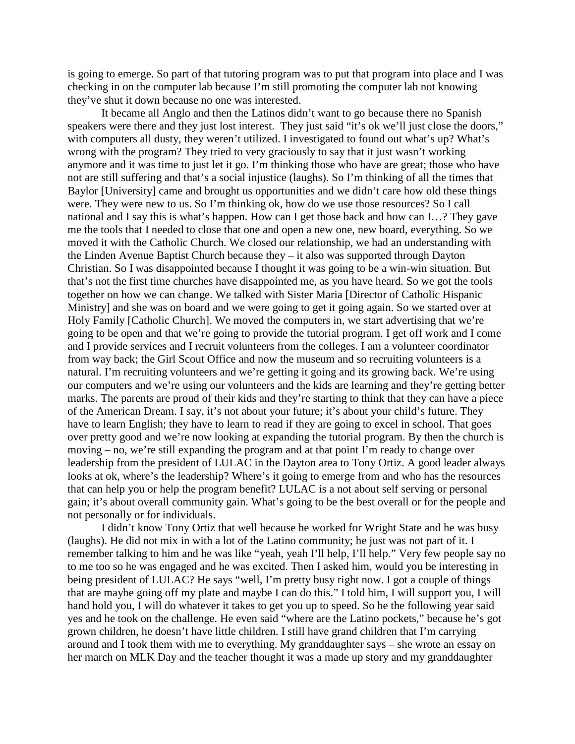is going to emerge. So part of that tutoring program was to put that program into place and I was checking in on the computer lab because I'm still promoting the computer lab not knowing they've shut it down because no one was interested.

It became all Anglo and then the Latinos didn't want to go because there no Spanish speakers were there and they just lost interest. They just said "it's ok we'll just close the doors," with computers all dusty, they weren't utilized. I investigated to found out what's up? What's wrong with the program? They tried to very graciously to say that it just wasn't working anymore and it was time to just let it go. I'm thinking those who have are great; those who have not are still suffering and that's a social injustice (laughs). So I'm thinking of all the times that Baylor [University] came and brought us opportunities and we didn't care how old these things were. They were new to us. So I'm thinking ok, how do we use those resources? So I call national and I say this is what's happen. How can I get those back and how can I…? They gave me the tools that I needed to close that one and open a new one, new board, everything. So we moved it with the Catholic Church. We closed our relationship, we had an understanding with the Linden Avenue Baptist Church because they – it also was supported through Dayton Christian. So I was disappointed because I thought it was going to be a win-win situation. But that's not the first time churches have disappointed me, as you have heard. So we got the tools together on how we can change. We talked with Sister Maria [Director of Catholic Hispanic Ministry] and she was on board and we were going to get it going again. So we started over at Holy Family [Catholic Church]. We moved the computers in, we start advertising that we're going to be open and that we're going to provide the tutorial program. I get off work and I come and I provide services and I recruit volunteers from the colleges. I am a volunteer coordinator from way back; the Girl Scout Office and now the museum and so recruiting volunteers is a natural. I'm recruiting volunteers and we're getting it going and its growing back. We're using our computers and we're using our volunteers and the kids are learning and they're getting better marks. The parents are proud of their kids and they're starting to think that they can have a piece of the American Dream. I say, it's not about your future; it's about your child's future. They have to learn English; they have to learn to read if they are going to excel in school. That goes over pretty good and we're now looking at expanding the tutorial program. By then the church is moving – no, we're still expanding the program and at that point I'm ready to change over leadership from the president of LULAC in the Dayton area to Tony Ortiz. A good leader always looks at ok, where's the leadership? Where's it going to emerge from and who has the resources that can help you or help the program benefit? LULAC is a not about self serving or personal gain; it's about overall community gain. What's going to be the best overall or for the people and not personally or for individuals.

I didn't know Tony Ortiz that well because he worked for Wright State and he was busy (laughs). He did not mix in with a lot of the Latino community; he just was not part of it. I remember talking to him and he was like "yeah, yeah I'll help, I'll help." Very few people say no to me too so he was engaged and he was excited. Then I asked him, would you be interesting in being president of LULAC? He says "well, I'm pretty busy right now. I got a couple of things that are maybe going off my plate and maybe I can do this." I told him, I will support you, I will hand hold you, I will do whatever it takes to get you up to speed. So he the following year said yes and he took on the challenge. He even said "where are the Latino pockets," because he's got grown children, he doesn't have little children. I still have grand children that I'm carrying around and I took them with me to everything. My granddaughter says – she wrote an essay on her march on MLK Day and the teacher thought it was a made up story and my granddaughter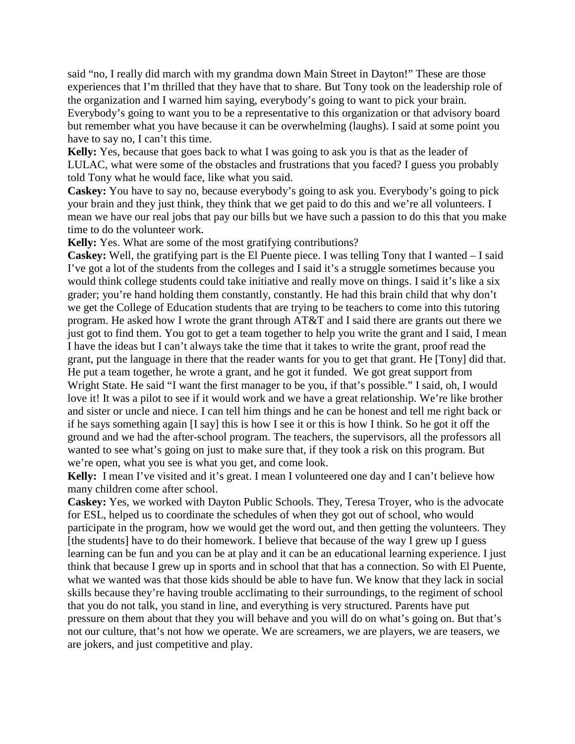said "no, I really did march with my grandma down Main Street in Dayton!" These are those experiences that I'm thrilled that they have that to share. But Tony took on the leadership role of the organization and I warned him saying, everybody's going to want to pick your brain. Everybody's going to want you to be a representative to this organization or that advisory board but remember what you have because it can be overwhelming (laughs). I said at some point you have to say no, I can't this time.

**Kelly:** Yes, because that goes back to what I was going to ask you is that as the leader of LULAC, what were some of the obstacles and frustrations that you faced? I guess you probably told Tony what he would face, like what you said.

**Caskey:** You have to say no, because everybody's going to ask you. Everybody's going to pick your brain and they just think, they think that we get paid to do this and we're all volunteers. I mean we have our real jobs that pay our bills but we have such a passion to do this that you make time to do the volunteer work.

**Kelly:** Yes. What are some of the most gratifying contributions?

**Caskey:** Well, the gratifying part is the El Puente piece. I was telling Tony that I wanted – I said I've got a lot of the students from the colleges and I said it's a struggle sometimes because you would think college students could take initiative and really move on things. I said it's like a six grader; you're hand holding them constantly, constantly. He had this brain child that why don't we get the College of Education students that are trying to be teachers to come into this tutoring program. He asked how I wrote the grant through AT&T and I said there are grants out there we just got to find them. You got to get a team together to help you write the grant and I said, I mean I have the ideas but I can't always take the time that it takes to write the grant, proof read the grant, put the language in there that the reader wants for you to get that grant. He [Tony] did that. He put a team together, he wrote a grant, and he got it funded. We got great support from Wright State. He said "I want the first manager to be you, if that's possible." I said, oh, I would love it! It was a pilot to see if it would work and we have a great relationship. We're like brother and sister or uncle and niece. I can tell him things and he can be honest and tell me right back or if he says something again [I say] this is how I see it or this is how I think. So he got it off the ground and we had the after-school program. The teachers, the supervisors, all the professors all wanted to see what's going on just to make sure that, if they took a risk on this program. But we're open, what you see is what you get, and come look.

**Kelly:** I mean I've visited and it's great. I mean I volunteered one day and I can't believe how many children come after school.

**Caskey:** Yes, we worked with Dayton Public Schools. They, Teresa Troyer, who is the advocate for ESL, helped us to coordinate the schedules of when they got out of school, who would participate in the program, how we would get the word out, and then getting the volunteers. They [the students] have to do their homework. I believe that because of the way I grew up I guess learning can be fun and you can be at play and it can be an educational learning experience. I just think that because I grew up in sports and in school that that has a connection. So with El Puente, what we wanted was that those kids should be able to have fun. We know that they lack in social skills because they're having trouble acclimating to their surroundings, to the regiment of school that you do not talk, you stand in line, and everything is very structured. Parents have put pressure on them about that they you will behave and you will do on what's going on. But that's not our culture, that's not how we operate. We are screamers, we are players, we are teasers, we are jokers, and just competitive and play.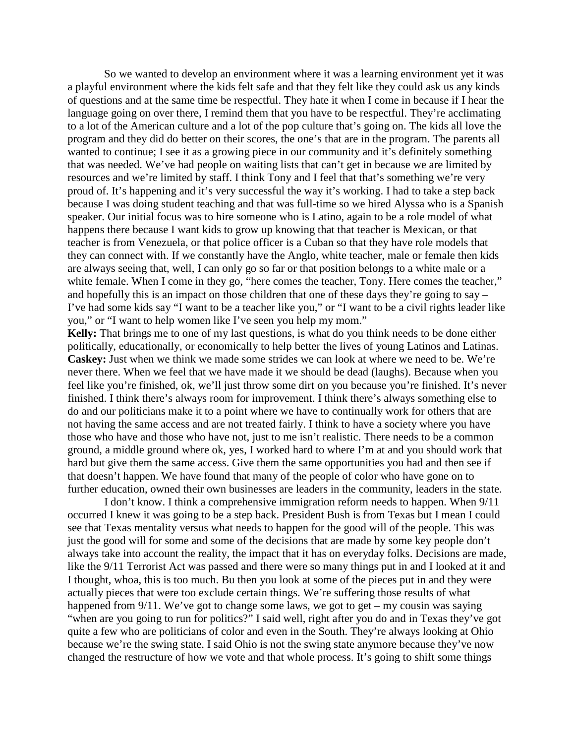So we wanted to develop an environment where it was a learning environment yet it was a playful environment where the kids felt safe and that they felt like they could ask us any kinds of questions and at the same time be respectful. They hate it when I come in because if I hear the language going on over there, I remind them that you have to be respectful. They're acclimating to a lot of the American culture and a lot of the pop culture that's going on. The kids all love the program and they did do better on their scores, the one's that are in the program. The parents all wanted to continue; I see it as a growing piece in our community and it's definitely something that was needed. We've had people on waiting lists that can't get in because we are limited by resources and we're limited by staff. I think Tony and I feel that that's something we're very proud of. It's happening and it's very successful the way it's working. I had to take a step back because I was doing student teaching and that was full-time so we hired Alyssa who is a Spanish speaker. Our initial focus was to hire someone who is Latino, again to be a role model of what happens there because I want kids to grow up knowing that that teacher is Mexican, or that teacher is from Venezuela, or that police officer is a Cuban so that they have role models that they can connect with. If we constantly have the Anglo, white teacher, male or female then kids are always seeing that, well, I can only go so far or that position belongs to a white male or a white female. When I come in they go, "here comes the teacher, Tony. Here comes the teacher," and hopefully this is an impact on those children that one of these days they're going to say – I've had some kids say "I want to be a teacher like you," or "I want to be a civil rights leader like you," or "I want to help women like I've seen you help my mom."

**Kelly:** That brings me to one of my last questions, is what do you think needs to be done either politically, educationally, or economically to help better the lives of young Latinos and Latinas. **Caskey:** Just when we think we made some strides we can look at where we need to be. We're never there. When we feel that we have made it we should be dead (laughs). Because when you feel like you're finished, ok, we'll just throw some dirt on you because you're finished. It's never finished. I think there's always room for improvement. I think there's always something else to do and our politicians make it to a point where we have to continually work for others that are not having the same access and are not treated fairly. I think to have a society where you have those who have and those who have not, just to me isn't realistic. There needs to be a common ground, a middle ground where ok, yes, I worked hard to where I'm at and you should work that hard but give them the same access. Give them the same opportunities you had and then see if that doesn't happen. We have found that many of the people of color who have gone on to further education, owned their own businesses are leaders in the community, leaders in the state.

I don't know. I think a comprehensive immigration reform needs to happen. When 9/11 occurred I knew it was going to be a step back. President Bush is from Texas but I mean I could see that Texas mentality versus what needs to happen for the good will of the people. This was just the good will for some and some of the decisions that are made by some key people don't always take into account the reality, the impact that it has on everyday folks. Decisions are made, like the 9/11 Terrorist Act was passed and there were so many things put in and I looked at it and I thought, whoa, this is too much. Bu then you look at some of the pieces put in and they were actually pieces that were too exclude certain things. We're suffering those results of what happened from 9/11. We've got to change some laws, we got to get – my cousin was saying "when are you going to run for politics?" I said well, right after you do and in Texas they've got quite a few who are politicians of color and even in the South. They're always looking at Ohio because we're the swing state. I said Ohio is not the swing state anymore because they've now changed the restructure of how we vote and that whole process. It's going to shift some things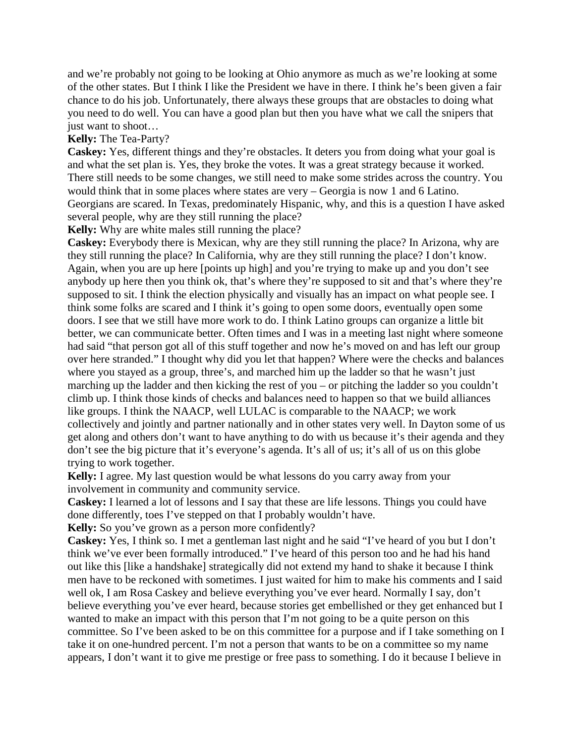and we're probably not going to be looking at Ohio anymore as much as we're looking at some of the other states. But I think I like the President we have in there. I think he's been given a fair chance to do his job. Unfortunately, there always these groups that are obstacles to doing what you need to do well. You can have a good plan but then you have what we call the snipers that just want to shoot...

# **Kelly:** The Tea-Party?

**Caskey:** Yes, different things and they're obstacles. It deters you from doing what your goal is and what the set plan is. Yes, they broke the votes. It was a great strategy because it worked. There still needs to be some changes, we still need to make some strides across the country. You would think that in some places where states are very – Georgia is now 1 and 6 Latino. Georgians are scared. In Texas, predominately Hispanic, why, and this is a question I have asked several people, why are they still running the place?

**Kelly:** Why are white males still running the place?

**Caskey:** Everybody there is Mexican, why are they still running the place? In Arizona, why are they still running the place? In California, why are they still running the place? I don't know. Again, when you are up here [points up high] and you're trying to make up and you don't see anybody up here then you think ok, that's where they're supposed to sit and that's where they're supposed to sit. I think the election physically and visually has an impact on what people see. I think some folks are scared and I think it's going to open some doors, eventually open some doors. I see that we still have more work to do. I think Latino groups can organize a little bit better, we can communicate better. Often times and I was in a meeting last night where someone had said "that person got all of this stuff together and now he's moved on and has left our group over here stranded." I thought why did you let that happen? Where were the checks and balances where you stayed as a group, three's, and marched him up the ladder so that he wasn't just marching up the ladder and then kicking the rest of you – or pitching the ladder so you couldn't climb up. I think those kinds of checks and balances need to happen so that we build alliances like groups. I think the NAACP, well LULAC is comparable to the NAACP; we work collectively and jointly and partner nationally and in other states very well. In Dayton some of us get along and others don't want to have anything to do with us because it's their agenda and they don't see the big picture that it's everyone's agenda. It's all of us; it's all of us on this globe trying to work together.

**Kelly:** I agree. My last question would be what lessons do you carry away from your involvement in community and community service.

**Caskey:** I learned a lot of lessons and I say that these are life lessons. Things you could have done differently, toes I've stepped on that I probably wouldn't have.

**Kelly:** So you've grown as a person more confidently?

**Caskey:** Yes, I think so. I met a gentleman last night and he said "I've heard of you but I don't think we've ever been formally introduced." I've heard of this person too and he had his hand out like this [like a handshake] strategically did not extend my hand to shake it because I think men have to be reckoned with sometimes. I just waited for him to make his comments and I said well ok, I am Rosa Caskey and believe everything you've ever heard. Normally I say, don't believe everything you've ever heard, because stories get embellished or they get enhanced but I wanted to make an impact with this person that I'm not going to be a quite person on this committee. So I've been asked to be on this committee for a purpose and if I take something on I take it on one-hundred percent. I'm not a person that wants to be on a committee so my name appears, I don't want it to give me prestige or free pass to something. I do it because I believe in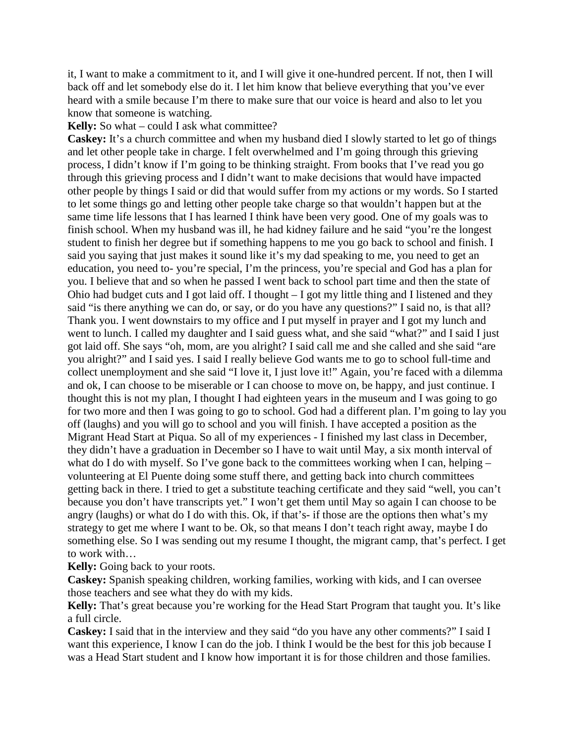it, I want to make a commitment to it, and I will give it one-hundred percent. If not, then I will back off and let somebody else do it. I let him know that believe everything that you've ever heard with a smile because I'm there to make sure that our voice is heard and also to let you know that someone is watching.

**Kelly:** So what – could I ask what committee?

**Caskey:** It's a church committee and when my husband died I slowly started to let go of things and let other people take in charge. I felt overwhelmed and I'm going through this grieving process, I didn't know if I'm going to be thinking straight. From books that I've read you go through this grieving process and I didn't want to make decisions that would have impacted other people by things I said or did that would suffer from my actions or my words. So I started to let some things go and letting other people take charge so that wouldn't happen but at the same time life lessons that I has learned I think have been very good. One of my goals was to finish school. When my husband was ill, he had kidney failure and he said "you're the longest student to finish her degree but if something happens to me you go back to school and finish. I said you saying that just makes it sound like it's my dad speaking to me, you need to get an education, you need to- you're special, I'm the princess, you're special and God has a plan for you. I believe that and so when he passed I went back to school part time and then the state of Ohio had budget cuts and I got laid off. I thought – I got my little thing and I listened and they said "is there anything we can do, or say, or do you have any questions?" I said no, is that all? Thank you. I went downstairs to my office and I put myself in prayer and I got my lunch and went to lunch. I called my daughter and I said guess what, and she said "what?" and I said I just got laid off. She says "oh, mom, are you alright? I said call me and she called and she said "are you alright?" and I said yes. I said I really believe God wants me to go to school full-time and collect unemployment and she said "I love it, I just love it!" Again, you're faced with a dilemma and ok, I can choose to be miserable or I can choose to move on, be happy, and just continue. I thought this is not my plan, I thought I had eighteen years in the museum and I was going to go for two more and then I was going to go to school. God had a different plan. I'm going to lay you off (laughs) and you will go to school and you will finish. I have accepted a position as the Migrant Head Start at Piqua. So all of my experiences - I finished my last class in December, they didn't have a graduation in December so I have to wait until May, a six month interval of what do I do with myself. So I've gone back to the committees working when I can, helping – volunteering at El Puente doing some stuff there, and getting back into church committees getting back in there. I tried to get a substitute teaching certificate and they said "well, you can't because you don't have transcripts yet." I won't get them until May so again I can choose to be angry (laughs) or what do I do with this. Ok, if that's- if those are the options then what's my strategy to get me where I want to be. Ok, so that means I don't teach right away, maybe I do something else. So I was sending out my resume I thought, the migrant camp, that's perfect. I get to work with…

**Kelly:** Going back to your roots.

**Caskey:** Spanish speaking children, working families, working with kids, and I can oversee those teachers and see what they do with my kids.

**Kelly:** That's great because you're working for the Head Start Program that taught you. It's like a full circle.

**Caskey:** I said that in the interview and they said "do you have any other comments?" I said I want this experience, I know I can do the job. I think I would be the best for this job because I was a Head Start student and I know how important it is for those children and those families.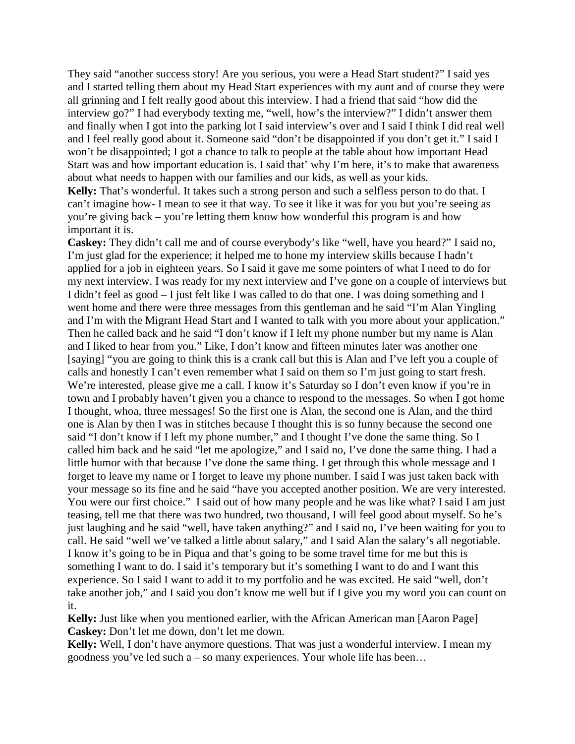They said "another success story! Are you serious, you were a Head Start student?" I said yes and I started telling them about my Head Start experiences with my aunt and of course they were all grinning and I felt really good about this interview. I had a friend that said "how did the interview go?" I had everybody texting me, "well, how's the interview?" I didn't answer them and finally when I got into the parking lot I said interview's over and I said I think I did real well and I feel really good about it. Someone said "don't be disappointed if you don't get it." I said I won't be disappointed; I got a chance to talk to people at the table about how important Head Start was and how important education is. I said that' why I'm here, it's to make that awareness about what needs to happen with our families and our kids, as well as your kids.

**Kelly:** That's wonderful. It takes such a strong person and such a selfless person to do that. I can't imagine how- I mean to see it that way. To see it like it was for you but you're seeing as you're giving back – you're letting them know how wonderful this program is and how important it is.

**Caskey:** They didn't call me and of course everybody's like "well, have you heard?" I said no, I'm just glad for the experience; it helped me to hone my interview skills because I hadn't applied for a job in eighteen years. So I said it gave me some pointers of what I need to do for my next interview. I was ready for my next interview and I've gone on a couple of interviews but I didn't feel as good – I just felt like I was called to do that one. I was doing something and I went home and there were three messages from this gentleman and he said "I'm Alan Yingling and I'm with the Migrant Head Start and I wanted to talk with you more about your application." Then he called back and he said "I don't know if I left my phone number but my name is Alan and I liked to hear from you." Like, I don't know and fifteen minutes later was another one [saying] "you are going to think this is a crank call but this is Alan and I've left you a couple of calls and honestly I can't even remember what I said on them so I'm just going to start fresh. We're interested, please give me a call. I know it's Saturday so I don't even know if you're in town and I probably haven't given you a chance to respond to the messages. So when I got home I thought, whoa, three messages! So the first one is Alan, the second one is Alan, and the third one is Alan by then I was in stitches because I thought this is so funny because the second one said "I don't know if I left my phone number," and I thought I've done the same thing. So I called him back and he said "let me apologize," and I said no, I've done the same thing. I had a little humor with that because I've done the same thing. I get through this whole message and I forget to leave my name or I forget to leave my phone number. I said I was just taken back with your message so its fine and he said "have you accepted another position. We are very interested. You were our first choice." I said out of how many people and he was like what? I said I am just teasing, tell me that there was two hundred, two thousand, I will feel good about myself. So he's just laughing and he said "well, have taken anything?" and I said no, I've been waiting for you to call. He said "well we've talked a little about salary," and I said Alan the salary's all negotiable. I know it's going to be in Piqua and that's going to be some travel time for me but this is something I want to do. I said it's temporary but it's something I want to do and I want this experience. So I said I want to add it to my portfolio and he was excited. He said "well, don't take another job," and I said you don't know me well but if I give you my word you can count on it.

**Kelly:** Just like when you mentioned earlier, with the African American man [Aaron Page] **Caskey:** Don't let me down, don't let me down.

**Kelly:** Well, I don't have anymore questions. That was just a wonderful interview. I mean my goodness you've led such a – so many experiences. Your whole life has been…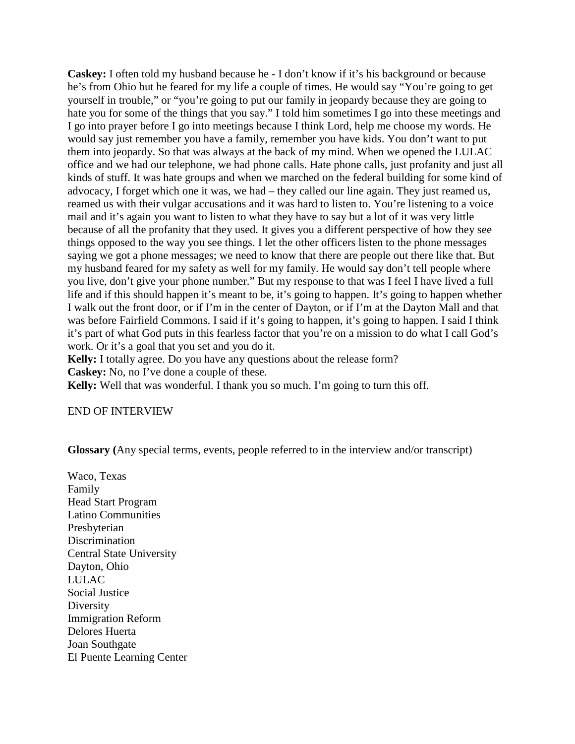**Caskey:** I often told my husband because he - I don't know if it's his background or because he's from Ohio but he feared for my life a couple of times. He would say "You're going to get yourself in trouble," or "you're going to put our family in jeopardy because they are going to hate you for some of the things that you say." I told him sometimes I go into these meetings and I go into prayer before I go into meetings because I think Lord, help me choose my words. He would say just remember you have a family, remember you have kids. You don't want to put them into jeopardy. So that was always at the back of my mind. When we opened the LULAC office and we had our telephone, we had phone calls. Hate phone calls, just profanity and just all kinds of stuff. It was hate groups and when we marched on the federal building for some kind of advocacy, I forget which one it was, we had – they called our line again. They just reamed us, reamed us with their vulgar accusations and it was hard to listen to. You're listening to a voice mail and it's again you want to listen to what they have to say but a lot of it was very little because of all the profanity that they used. It gives you a different perspective of how they see things opposed to the way you see things. I let the other officers listen to the phone messages saying we got a phone messages; we need to know that there are people out there like that. But my husband feared for my safety as well for my family. He would say don't tell people where you live, don't give your phone number." But my response to that was I feel I have lived a full life and if this should happen it's meant to be, it's going to happen. It's going to happen whether I walk out the front door, or if I'm in the center of Dayton, or if I'm at the Dayton Mall and that was before Fairfield Commons. I said if it's going to happen, it's going to happen. I said I think it's part of what God puts in this fearless factor that you're on a mission to do what I call God's work. Or it's a goal that you set and you do it.

**Kelly:** I totally agree. Do you have any questions about the release form?

**Caskey:** No, no I've done a couple of these.

**Kelly:** Well that was wonderful. I thank you so much. I'm going to turn this off.

END OF INTERVIEW

**Glossary (**Any special terms, events, people referred to in the interview and/or transcript)

Waco, Texas Family Head Start Program Latino Communities Presbyterian Discrimination Central State University Dayton, Ohio LULAC Social Justice Diversity Immigration Reform Delores Huerta Joan Southgate El Puente Learning Center